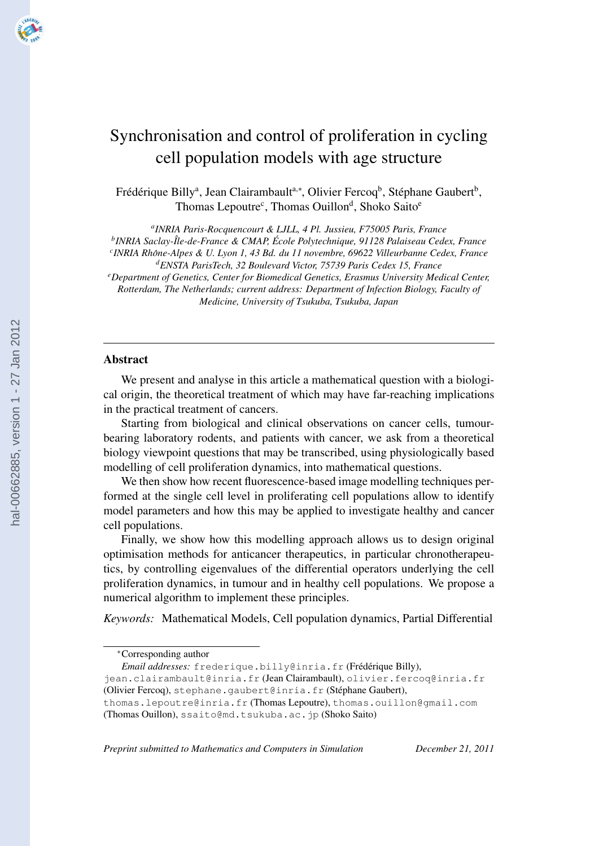# Synchronisation and control of proliferation in cycling cell population models with age structure

Frédérique Billy<sup>a</sup>, Jean Clairambault<sup>a,∗</sup>, Olivier Fercoq<sup>b</sup>, Stéphane Gaubert<sup>b</sup>, Thomas Lepoutre<sup>c</sup>, Thomas Ouillon<sup>d</sup>, Shoko Saito<sup>e</sup>

*a INRIA Paris-Rocquencourt & LJLL, 4 Pl. Jussieu, F75005 Paris, France b INRIA Saclay-ˆIle-de-France & CMAP, Ecole Polytechnique, 91128 Palaiseau Cedex, France ´ c INRIA Rhone-Alpes & U. Lyon 1, 43 Bd. du 11 novembre, 69622 Villeurbanne Cedex, France ˆ <sup>d</sup>ENSTA ParisTech, 32 Boulevard Victor, 75739 Paris Cedex 15, France*

*<sup>e</sup>Department of Genetics, Center for Biomedical Genetics, Erasmus University Medical Center, Rotterdam, The Netherlands; current address: Department of Infection Biology, Faculty of Medicine, University of Tsukuba, Tsukuba, Japan*

## Abstract

We present and analyse in this article a mathematical question with a biological origin, the theoretical treatment of which may have far-reaching implications in the practical treatment of cancers.

Starting from biological and clinical observations on cancer cells, tumourbearing laboratory rodents, and patients with cancer, we ask from a theoretical biology viewpoint questions that may be transcribed, using physiologically based modelling of cell proliferation dynamics, into mathematical questions.

We then show how recent fluorescence-based image modelling techniques performed at the single cell level in proliferating cell populations allow to identify model parameters and how this may be applied to investigate healthy and cancer cell populations.

Finally, we show how this modelling approach allows us to design original optimisation methods for anticancer therapeutics, in particular chronotherapeutics, by controlling eigenvalues of the differential operators underlying the cell proliferation dynamics, in tumour and in healthy cell populations. We propose a numerical algorithm to implement these principles.

*Keywords:* Mathematical Models, Cell population dynamics, Partial Differential

*Email addresses:* frederique.billy@inria.fr (Frédérique Billy),

*Preprint submitted to Mathematics and Computers in Simulation December 21, 2011*

<sup>∗</sup>Corresponding author

jean.clairambault@inria.fr (Jean Clairambault), olivier.fercoq@inria.fr (Olivier Fercoq), stephane.gaubert@inria.fr (Stéphane Gaubert),

thomas.lepoutre@inria.fr (Thomas Lepoutre), thomas.ouillon@gmail.com (Thomas Ouillon), ssaito@md.tsukuba.ac.jp (Shoko Saito)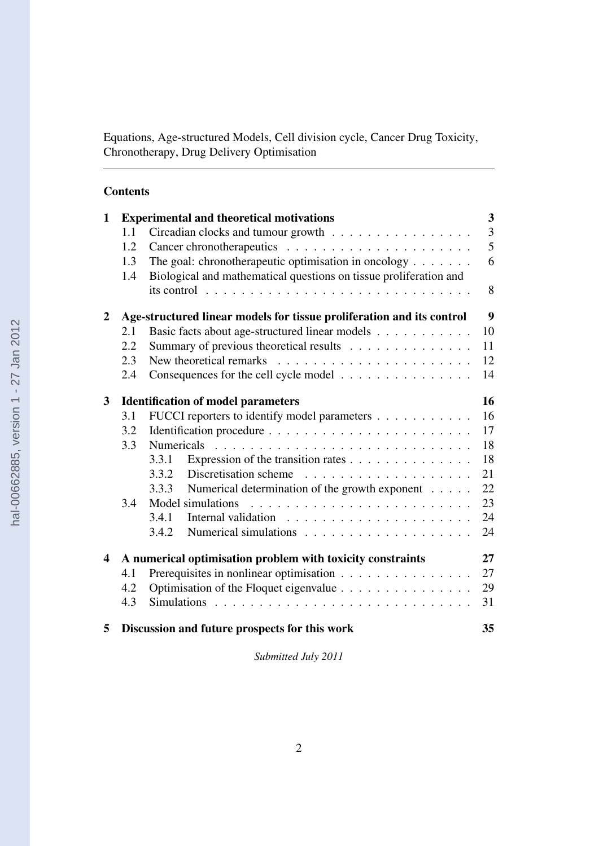Equations, Age-structured Models, Cell division cycle, Cancer Drug Toxicity, Chronotherapy, Drug Delivery Optimisation

## **Contents**

| 1                       |     | <b>Experimental and theoretical motivations</b>                                                                         | 3              |
|-------------------------|-----|-------------------------------------------------------------------------------------------------------------------------|----------------|
|                         | 1.1 | Circadian clocks and tumour growth                                                                                      | 3              |
|                         | 1.2 |                                                                                                                         | $\overline{5}$ |
|                         | 1.3 | The goal: chronotherapeutic optimisation in oncology $\dots$                                                            | 6              |
|                         | 1.4 | Biological and mathematical questions on tissue proliferation and                                                       |                |
|                         |     | its control $\ldots$ , $\ldots$ , $\ldots$ , $\ldots$ , $\ldots$ , $\ldots$ , $\ldots$ , $\ldots$ , $\ldots$ , $\ldots$ | 8              |
| 2                       |     | Age-structured linear models for tissue proliferation and its control                                                   | 9              |
|                         | 2.1 | Basic facts about age-structured linear models                                                                          | 10             |
|                         | 2.2 | Summary of previous theoretical results                                                                                 | 11             |
|                         | 2.3 |                                                                                                                         | 12             |
|                         | 2.4 | Consequences for the cell cycle model                                                                                   | 14             |
| $\overline{\mathbf{3}}$ |     | <b>Identification of model parameters</b>                                                                               | 16             |
|                         | 3.1 | FUCCI reporters to identify model parameters                                                                            | 16             |
|                         | 3.2 |                                                                                                                         | 17             |
|                         | 3.3 | <b>Numericals</b>                                                                                                       | 18             |
|                         |     | 3.3.1<br>Expression of the transition rates                                                                             | 18             |
|                         |     | 3.3.2<br>Discretisation scheme<br>.                                                                                     | 21             |
|                         |     | 3.3.3<br>Numerical determination of the growth exponent                                                                 | 22             |
|                         | 3.4 | Model simulations                                                                                                       | 23             |
|                         |     | 3.4.1                                                                                                                   | 24             |
|                         |     | 3.4.2                                                                                                                   | 24             |
| $\boldsymbol{4}$        |     | A numerical optimisation problem with toxicity constraints                                                              | 27             |
|                         | 4.1 | Prerequisites in nonlinear optimisation                                                                                 | 27             |
|                         | 4.2 | Optimisation of the Floquet eigenvalue                                                                                  | 29             |
|                         | 4.3 |                                                                                                                         | 31             |
| 5                       |     | Discussion and future prospects for this work                                                                           | 35             |

*Submitted July 2011*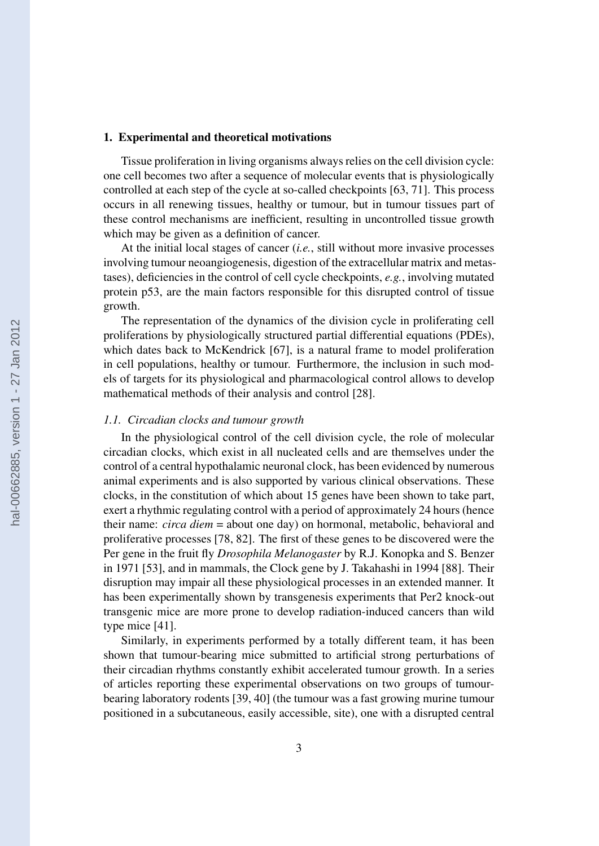## <span id="page-2-0"></span>1. Experimental and theoretical motivations

Tissue proliferation in living organisms always relies on the cell division cycle: one cell becomes two after a sequence of molecular events that is physiologically controlled at each step of the cycle at so-called checkpoints [\[63,](#page-42-0) [71\]](#page-43-0). This process occurs in all renewing tissues, healthy or tumour, but in tumour tissues part of these control mechanisms are inefficient, resulting in uncontrolled tissue growth which may be given as a definition of cancer.

At the initial local stages of cancer (*i.e.*, still without more invasive processes involving tumour neoangiogenesis, digestion of the extracellular matrix and metastases), deficiencies in the control of cell cycle checkpoints, *e.g.*, involving mutated protein p53, are the main factors responsible for this disrupted control of tissue growth.

The representation of the dynamics of the division cycle in proliferating cell proliferations by physiologically structured partial differential equations (PDEs), which dates back to McKendrick [\[67\]](#page-43-0), is a natural frame to model proliferation in cell populations, healthy or tumour. Furthermore, the inclusion in such models of targets for its physiological and pharmacological control allows to develop mathematical methods of their analysis and control [\[28\]](#page-39-0).

## *1.1. Circadian clocks and tumour growth*

In the physiological control of the cell division cycle, the role of molecular circadian clocks, which exist in all nucleated cells and are themselves under the control of a central hypothalamic neuronal clock, has been evidenced by numerous animal experiments and is also supported by various clinical observations. These clocks, in the constitution of which about 15 genes have been shown to take part, exert a rhythmic regulating control with a period of approximately 24 hours (hence their name: *circa diem* = about one day) on hormonal, metabolic, behavioral and proliferative processes [\[78, 82\]](#page-44-0). The first of these genes to be discovered were the Per gene in the fruit fly *Drosophila Melanogaster* by R.J. Konopka and S. Benzer in 1971 [\[53\]](#page-42-0), and in mammals, the Clock gene by J. Takahashi in 1994 [\[88\]](#page-45-0). Their disruption may impair all these physiological processes in an extended manner. It has been experimentally shown by transgenesis experiments that Per2 knock-out transgenic mice are more prone to develop radiation-induced cancers than wild type mice [\[41\]](#page-41-0).

Similarly, in experiments performed by a totally different team, it has been shown that tumour-bearing mice submitted to artificial strong perturbations of their circadian rhythms constantly exhibit accelerated tumour growth. In a series of articles reporting these experimental observations on two groups of tumourbearing laboratory rodents [\[39,](#page-40-0) [40\]](#page-41-0) (the tumour was a fast growing murine tumour positioned in a subcutaneous, easily accessible, site), one with a disrupted central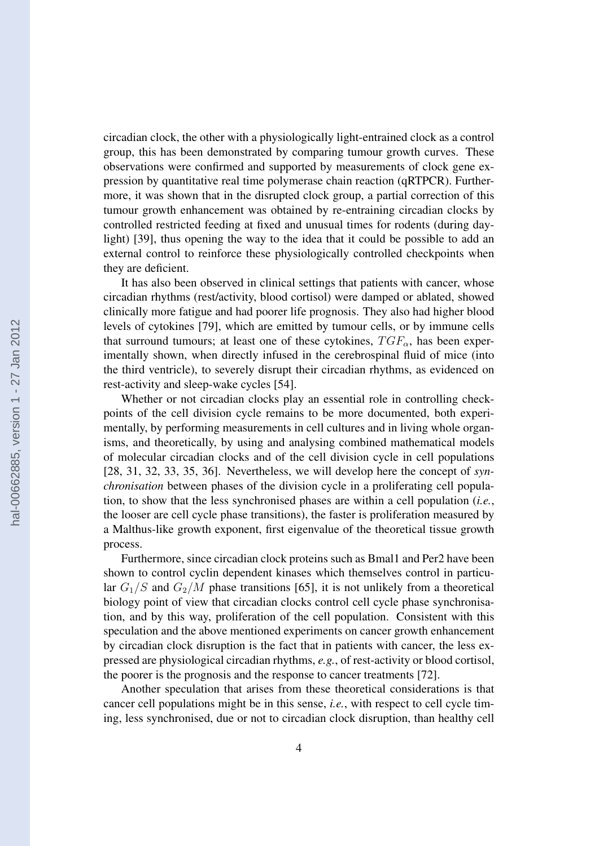circadian clock, the other with a physiologically light-entrained clock as a control group, this has been demonstrated by comparing tumour growth curves. These observations were confirmed and supported by measurements of clock gene expression by quantitative real time polymerase chain reaction (qRTPCR). Furthermore, it was shown that in the disrupted clock group, a partial correction of this tumour growth enhancement was obtained by re-entraining circadian clocks by controlled restricted feeding at fixed and unusual times for rodents (during daylight) [\[39\]](#page-40-0), thus opening the way to the idea that it could be possible to add an external control to reinforce these physiologically controlled checkpoints when they are deficient.

It has also been observed in clinical settings that patients with cancer, whose circadian rhythms (rest/activity, blood cortisol) were damped or ablated, showed clinically more fatigue and had poorer life prognosis. They also had higher blood levels of cytokines [\[79\]](#page-44-0), which are emitted by tumour cells, or by immune cells that surround tumours; at least one of these cytokines,  $TGF_{\alpha}$ , has been experimentally shown, when directly infused in the cerebrospinal fluid of mice (into the third ventricle), to severely disrupt their circadian rhythms, as evidenced on rest-activity and sleep-wake cycles [\[54\]](#page-42-0).

Whether or not circadian clocks play an essential role in controlling checkpoints of the cell division cycle remains to be more documented, both experimentally, by performing measurements in cell cultures and in living whole organisms, and theoretically, by using and analysing combined mathematical models of molecular circadian clocks and of the cell division cycle in cell populations [\[28,](#page-39-0) [31, 32, 33, 35, 36\]](#page-40-0). Nevertheless, we will develop here the concept of *synchronisation* between phases of the division cycle in a proliferating cell population, to show that the less synchronised phases are within a cell population (*i.e.*, the looser are cell cycle phase transitions), the faster is proliferation measured by a Malthus-like growth exponent, first eigenvalue of the theoretical tissue growth process.

Furthermore, since circadian clock proteins such as Bmal1 and Per2 have been shown to control cyclin dependent kinases which themselves control in particular  $G_1/S$  and  $G_2/M$  phase transitions [\[65\]](#page-43-0), it is not unlikely from a theoretical biology point of view that circadian clocks control cell cycle phase synchronisation, and by this way, proliferation of the cell population. Consistent with this speculation and the above mentioned experiments on cancer growth enhancement by circadian clock disruption is the fact that in patients with cancer, the less expressed are physiological circadian rhythms, *e.g.*, of rest-activity or blood cortisol, the poorer is the prognosis and the response to cancer treatments [\[72\]](#page-43-0).

Another speculation that arises from these theoretical considerations is that cancer cell populations might be in this sense, *i.e.*, with respect to cell cycle timing, less synchronised, due or not to circadian clock disruption, than healthy cell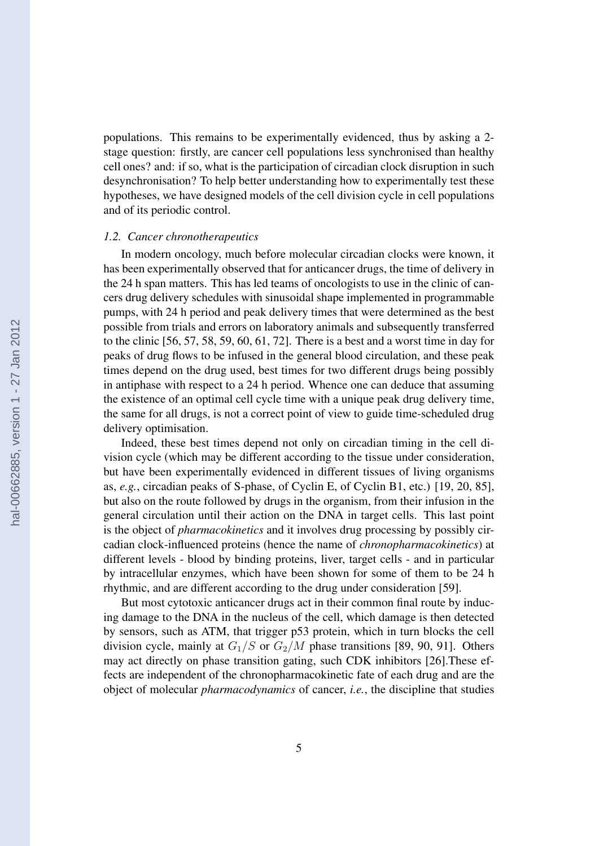<span id="page-4-0"></span>populations. This remains to be experimentally evidenced, thus by asking a 2 stage question: firstly, are cancer cell populations less synchronised than healthy cell ones? and: if so, what is the participation of circadian clock disruption in such desynchronisation? To help better understanding how to experimentally test these hypotheses, we have designed models of the cell division cycle in cell populations and of its periodic control.

#### *1.2. Cancer chronotherapeutics*

In modern oncology, much before molecular circadian clocks were known, it has been experimentally observed that for anticancer drugs, the time of delivery in the 24 h span matters. This has led teams of oncologists to use in the clinic of cancers drug delivery schedules with sinusoidal shape implemented in programmable pumps, with 24 h period and peak delivery times that were determined as the best possible from trials and errors on laboratory animals and subsequently transferred to the clinic [\[56, 57, 58, 59, 60, 61,](#page-42-0) [72\]](#page-43-0). There is a best and a worst time in day for peaks of drug flows to be infused in the general blood circulation, and these peak times depend on the drug used, best times for two different drugs being possibly in antiphase with respect to a 24 h period. Whence one can deduce that assuming the existence of an optimal cell cycle time with a unique peak drug delivery time, the same for all drugs, is not a correct point of view to guide time-scheduled drug delivery optimisation.

Indeed, these best times depend not only on circadian timing in the cell division cycle (which may be different according to the tissue under consideration, but have been experimentally evidenced in different tissues of living organisms as, *e.g.*, circadian peaks of S-phase, of Cyclin E, of Cyclin B1, etc.) [\[19, 20,](#page-39-0) [85\]](#page-44-0), but also on the route followed by drugs in the organism, from their infusion in the general circulation until their action on the DNA in target cells. This last point is the object of *pharmacokinetics* and it involves drug processing by possibly circadian clock-influenced proteins (hence the name of *chronopharmacokinetics*) at different levels - blood by binding proteins, liver, target cells - and in particular by intracellular enzymes, which have been shown for some of them to be 24 h rhythmic, and are different according to the drug under consideration [\[59\]](#page-42-0).

But most cytotoxic anticancer drugs act in their common final route by inducing damage to the DNA in the nucleus of the cell, which damage is then detected by sensors, such as ATM, that trigger p53 protein, which in turn blocks the cell division cycle, mainly at  $G_1/S$  or  $G_2/M$  phase transitions [\[89, 90, 91\]](#page-45-0). Others may act directly on phase transition gating, such CDK inhibitors [\[26\]](#page-39-0).These effects are independent of the chronopharmacokinetic fate of each drug and are the object of molecular *pharmacodynamics* of cancer, *i.e.*, the discipline that studies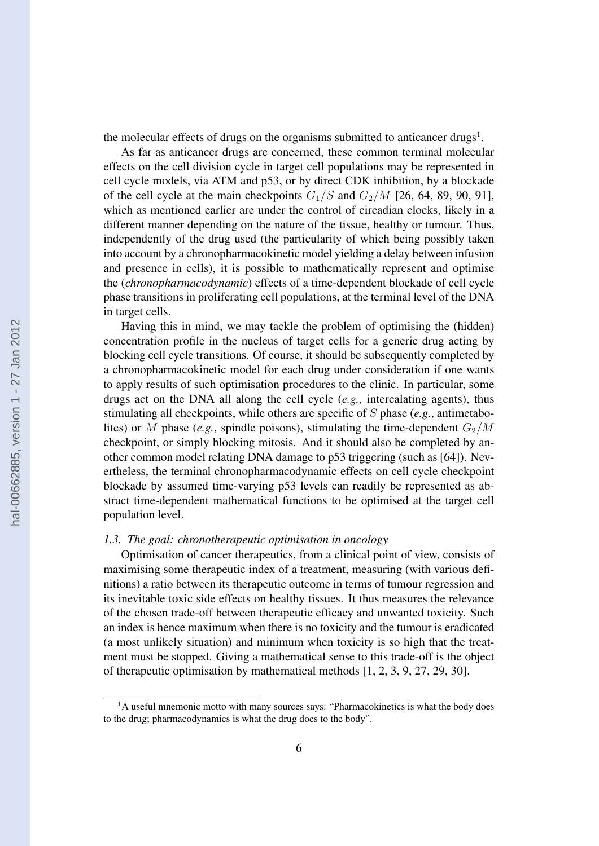<span id="page-5-0"></span>the molecular effects of drugs on the organisms submitted to anticancer drugs<sup>1</sup>.

As far as anticancer drugs are concerned, these common terminal molecular effects on the cell division cycle in target cell populations may be represented in cell cycle models, via ATM and p53, or by direct CDK inhibition, by a blockade of the cell cycle at the main checkpoints  $G_1/S$  and  $G_2/M$  [\[26,](#page-39-0) [64,](#page-43-0) [89, 90, 91\]](#page-45-0), which as mentioned earlier are under the control of circadian clocks, likely in a different manner depending on the nature of the tissue, healthy or tumour. Thus, independently of the drug used (the particularity of which being possibly taken into account by a chronopharmacokinetic model yielding a delay between infusion and presence in cells), it is possible to mathematically represent and optimise the (*chronopharmacodynamic*) effects of a time-dependent blockade of cell cycle phase transitions in proliferating cell populations, at the terminal level of the DNA in target cells.

Having this in mind, we may tackle the problem of optimising the (hidden) concentration profile in the nucleus of target cells for a generic drug acting by blocking cell cycle transitions. Of course, it should be subsequently completed by a chronopharmacokinetic model for each drug under consideration if one wants to apply results of such optimisation procedures to the clinic. In particular, some drugs act on the DNA all along the cell cycle (*e.g.*, intercalating agents), thus stimulating all checkpoints, while others are specific of S phase (*e.g.*, antimetabolites) or M phase (*e.g.*, spindle poisons), stimulating the time-dependent  $G_2/M$ checkpoint, or simply blocking mitosis. And it should also be completed by another common model relating DNA damage to p53 triggering (such as [\[64\]](#page-43-0)). Nevertheless, the terminal chronopharmacodynamic effects on cell cycle checkpoint blockade by assumed time-varying p53 levels can readily be represented as abstract time-dependent mathematical functions to be optimised at the target cell population level.

## *1.3. The goal: chronotherapeutic optimisation in oncology*

Optimisation of cancer therapeutics, from a clinical point of view, consists of maximising some therapeutic index of a treatment, measuring (with various definitions) a ratio between its therapeutic outcome in terms of tumour regression and its inevitable toxic side effects on healthy tissues. It thus measures the relevance of the chosen trade-off between therapeutic efficacy and unwanted toxicity. Such an index is hence maximum when there is no toxicity and the tumour is eradicated (a most unlikely situation) and minimum when toxicity is so high that the treatment must be stopped. Giving a mathematical sense to this trade-off is the object of therapeutic optimisation by mathematical methods [\[1, 2, 3,](#page-37-0) [9,](#page-38-0) [27,](#page-39-0) [29, 30\]](#page-40-0).

<sup>&</sup>lt;sup>1</sup>A useful mnemonic motto with many sources says: "Pharmacokinetics is what the body does to the drug; pharmacodynamics is what the drug does to the body".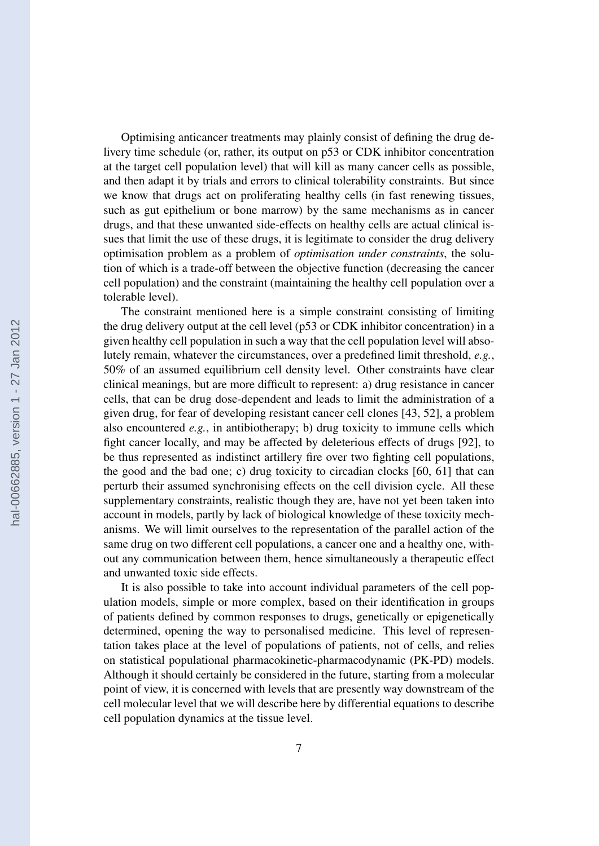Optimising anticancer treatments may plainly consist of defining the drug delivery time schedule (or, rather, its output on p53 or CDK inhibitor concentration at the target cell population level) that will kill as many cancer cells as possible, and then adapt it by trials and errors to clinical tolerability constraints. But since we know that drugs act on proliferating healthy cells (in fast renewing tissues, such as gut epithelium or bone marrow) by the same mechanisms as in cancer drugs, and that these unwanted side-effects on healthy cells are actual clinical issues that limit the use of these drugs, it is legitimate to consider the drug delivery optimisation problem as a problem of *optimisation under constraints*, the solution of which is a trade-off between the objective function (decreasing the cancer cell population) and the constraint (maintaining the healthy cell population over a tolerable level).

The constraint mentioned here is a simple constraint consisting of limiting the drug delivery output at the cell level (p53 or CDK inhibitor concentration) in a given healthy cell population in such a way that the cell population level will absolutely remain, whatever the circumstances, over a predefined limit threshold, *e.g.*, 50% of an assumed equilibrium cell density level. Other constraints have clear clinical meanings, but are more difficult to represent: a) drug resistance in cancer cells, that can be drug dose-dependent and leads to limit the administration of a given drug, for fear of developing resistant cancer cell clones [\[43,](#page-41-0) [52\]](#page-42-0), a problem also encountered *e.g.*, in antibiotherapy; b) drug toxicity to immune cells which fight cancer locally, and may be affected by deleterious effects of drugs [\[92\]](#page-45-0), to be thus represented as indistinct artillery fire over two fighting cell populations, the good and the bad one; c) drug toxicity to circadian clocks [\[60, 61\]](#page-42-0) that can perturb their assumed synchronising effects on the cell division cycle. All these supplementary constraints, realistic though they are, have not yet been taken into account in models, partly by lack of biological knowledge of these toxicity mechanisms. We will limit ourselves to the representation of the parallel action of the same drug on two different cell populations, a cancer one and a healthy one, without any communication between them, hence simultaneously a therapeutic effect and unwanted toxic side effects.

It is also possible to take into account individual parameters of the cell population models, simple or more complex, based on their identification in groups of patients defined by common responses to drugs, genetically or epigenetically determined, opening the way to personalised medicine. This level of representation takes place at the level of populations of patients, not of cells, and relies on statistical populational pharmacokinetic-pharmacodynamic (PK-PD) models. Although it should certainly be considered in the future, starting from a molecular point of view, it is concerned with levels that are presently way downstream of the cell molecular level that we will describe here by differential equations to describe cell population dynamics at the tissue level.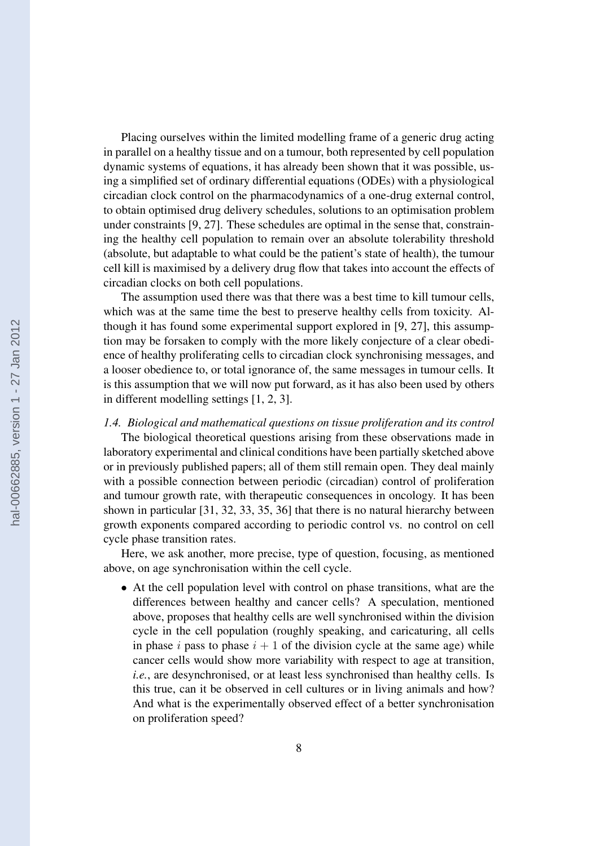<span id="page-7-0"></span>Placing ourselves within the limited modelling frame of a generic drug acting in parallel on a healthy tissue and on a tumour, both represented by cell population dynamic systems of equations, it has already been shown that it was possible, using a simplified set of ordinary differential equations (ODEs) with a physiological circadian clock control on the pharmacodynamics of a one-drug external control, to obtain optimised drug delivery schedules, solutions to an optimisation problem under constraints [\[9,](#page-38-0) [27\]](#page-39-0). These schedules are optimal in the sense that, constraining the healthy cell population to remain over an absolute tolerability threshold (absolute, but adaptable to what could be the patient's state of health), the tumour cell kill is maximised by a delivery drug flow that takes into account the effects of circadian clocks on both cell populations.

The assumption used there was that there was a best time to kill tumour cells, which was at the same time the best to preserve healthy cells from toxicity. Although it has found some experimental support explored in [\[9,](#page-38-0) [27\]](#page-39-0), this assumption may be forsaken to comply with the more likely conjecture of a clear obedience of healthy proliferating cells to circadian clock synchronising messages, and a looser obedience to, or total ignorance of, the same messages in tumour cells. It is this assumption that we will now put forward, as it has also been used by others in different modelling settings [\[1, 2, 3\]](#page-37-0).

## *1.4. Biological and mathematical questions on tissue proliferation and its control*

The biological theoretical questions arising from these observations made in laboratory experimental and clinical conditions have been partially sketched above or in previously published papers; all of them still remain open. They deal mainly with a possible connection between periodic (circadian) control of proliferation and tumour growth rate, with therapeutic consequences in oncology. It has been shown in particular [\[31, 32, 33, 35, 36\]](#page-40-0) that there is no natural hierarchy between growth exponents compared according to periodic control vs. no control on cell cycle phase transition rates.

Here, we ask another, more precise, type of question, focusing, as mentioned above, on age synchronisation within the cell cycle.

• At the cell population level with control on phase transitions, what are the differences between healthy and cancer cells? A speculation, mentioned above, proposes that healthy cells are well synchronised within the division cycle in the cell population (roughly speaking, and caricaturing, all cells in phase i pass to phase  $i + 1$  of the division cycle at the same age) while cancer cells would show more variability with respect to age at transition, *i.e.*, are desynchronised, or at least less synchronised than healthy cells. Is this true, can it be observed in cell cultures or in living animals and how? And what is the experimentally observed effect of a better synchronisation on proliferation speed?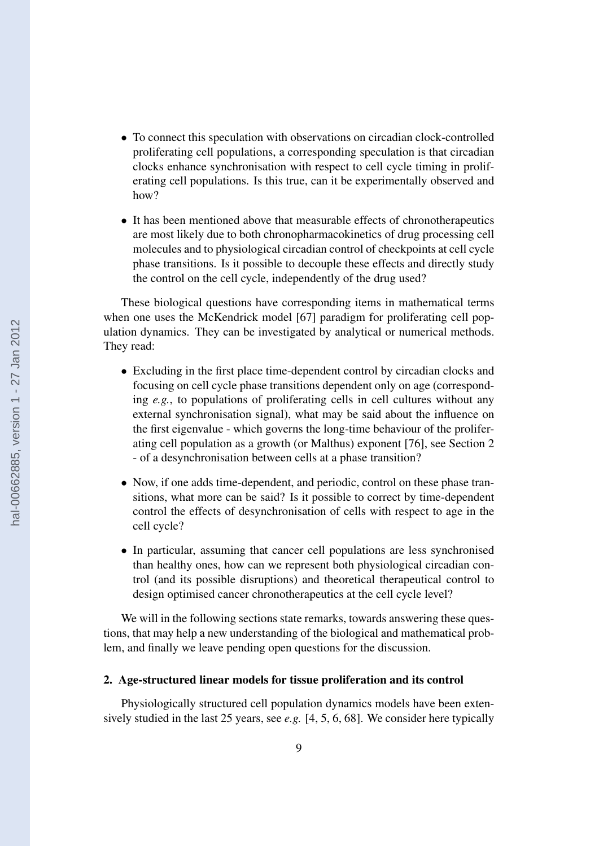- <span id="page-8-0"></span>• To connect this speculation with observations on circadian clock-controlled proliferating cell populations, a corresponding speculation is that circadian clocks enhance synchronisation with respect to cell cycle timing in proliferating cell populations. Is this true, can it be experimentally observed and how?
- It has been mentioned above that measurable effects of chronotherapeutics are most likely due to both chronopharmacokinetics of drug processing cell molecules and to physiological circadian control of checkpoints at cell cycle phase transitions. Is it possible to decouple these effects and directly study the control on the cell cycle, independently of the drug used?

These biological questions have corresponding items in mathematical terms when one uses the McKendrick model [\[67\]](#page-43-0) paradigm for proliferating cell population dynamics. They can be investigated by analytical or numerical methods. They read:

- Excluding in the first place time-dependent control by circadian clocks and focusing on cell cycle phase transitions dependent only on age (corresponding *e.g.*, to populations of proliferating cells in cell cultures without any external synchronisation signal), what may be said about the influence on the first eigenvalue - which governs the long-time behaviour of the proliferating cell population as a growth (or Malthus) exponent [\[76\]](#page-44-0), see Section 2 - of a desynchronisation between cells at a phase transition?
- Now, if one adds time-dependent, and periodic, control on these phase transitions, what more can be said? Is it possible to correct by time-dependent control the effects of desynchronisation of cells with respect to age in the cell cycle?
- In particular, assuming that cancer cell populations are less synchronised than healthy ones, how can we represent both physiological circadian control (and its possible disruptions) and theoretical therapeutical control to design optimised cancer chronotherapeutics at the cell cycle level?

We will in the following sections state remarks, towards answering these questions, that may help a new understanding of the biological and mathematical problem, and finally we leave pending open questions for the discussion.

## 2. Age-structured linear models for tissue proliferation and its control

Physiologically structured cell population dynamics models have been extensively studied in the last 25 years, see *e.g.* [\[4, 5,](#page-37-0) [6,](#page-38-0) [68\]](#page-43-0). We consider here typically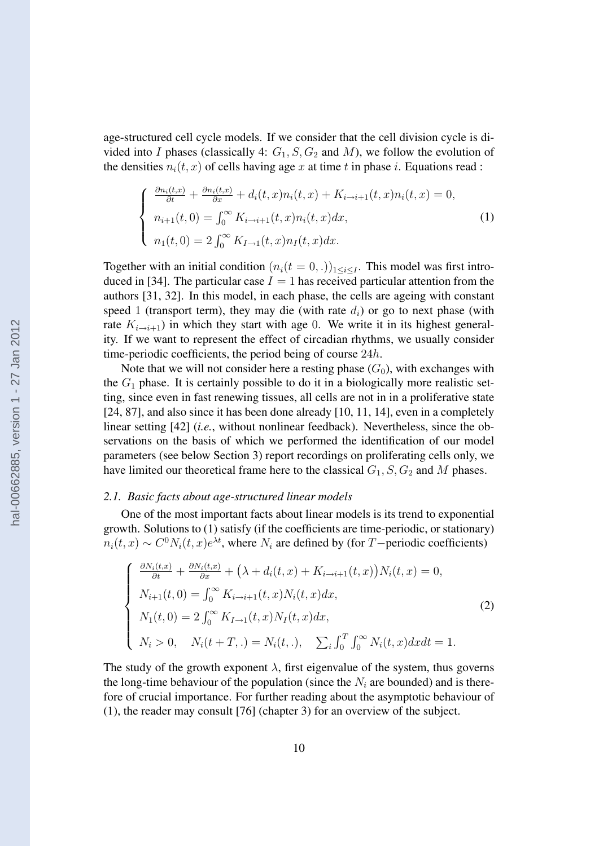<span id="page-9-0"></span>age-structured cell cycle models. If we consider that the cell division cycle is divided into I phases (classically 4:  $G_1$ , S,  $G_2$  and M), we follow the evolution of the densities  $n_i(t, x)$  of cells having age x at time t in phase i. Equations read :

$$
\begin{cases}\n\frac{\partial n_i(t,x)}{\partial t} + \frac{\partial n_i(t,x)}{\partial x} + d_i(t,x)n_i(t,x) + K_{i \to i+1}(t,x)n_i(t,x) = 0, \\
n_{i+1}(t,0) = \int_0^\infty K_{i \to i+1}(t,x)n_i(t,x)dx, \\
n_1(t,0) = 2 \int_0^\infty K_{I \to 1}(t,x)n_I(t,x)dx.\n\end{cases} \tag{1}
$$

Together with an initial condition  $(n_i(t = 0, .))_{1 \leq i \leq I}$ . This model was first intro-duced in [\[34\]](#page-40-0). The particular case  $I = 1$  has received particular attention from the authors [\[31, 32\]](#page-40-0). In this model, in each phase, the cells are ageing with constant speed 1 (transport term), they may die (with rate  $d_i$ ) or go to next phase (with rate  $K_{i\rightarrow i+1}$ ) in which they start with age 0. We write it in its highest generality. If we want to represent the effect of circadian rhythms, we usually consider time-periodic coefficients, the period being of course 24h.

Note that we will not consider here a resting phase  $(G_0)$ , with exchanges with the  $G_1$  phase. It is certainly possible to do it in a biologically more realistic setting, since even in fast renewing tissues, all cells are not in in a proliferative state [\[24,](#page-39-0) [87\]](#page-45-0), and also since it has been done already [\[10, 11, 14\]](#page-38-0), even in a completely linear setting [\[42\]](#page-41-0) (*i.e.*, without nonlinear feedback). Nevertheless, since the observations on the basis of which we performed the identification of our model parameters (see below Section [3\)](#page-15-0) report recordings on proliferating cells only, we have limited our theoretical frame here to the classical  $G_1$ ,  $S$ ,  $G_2$  and M phases.

#### *2.1. Basic facts about age-structured linear models*

One of the most important facts about linear models is its trend to exponential growth. Solutions to (1) satisfy (if the coefficients are time-periodic, or stationary)  $n_i(t, x) \sim C^0 N_i(t, x) e^{\lambda t}$ , where  $N_i$  are defined by (for T−periodic coefficients)

$$
\begin{cases}\n\frac{\partial N_i(t,x)}{\partial t} + \frac{\partial N_i(t,x)}{\partial x} + (\lambda + d_i(t,x) + K_{i \to i+1}(t,x))N_i(t,x) = 0, \\
N_{i+1}(t,0) = \int_0^\infty K_{i \to i+1}(t,x)N_i(t,x)dx, \\
N_1(t,0) = 2 \int_0^\infty K_{I \to 1}(t,x)N_I(t,x)dx, \\
N_i > 0, \quad N_i(t+T,.) = N_i(t,.), \quad \sum_i \int_0^T \int_0^\infty N_i(t,x)dxdt = 1.\n\end{cases}
$$
\n(2)

The study of the growth exponent  $\lambda$ , first eigenvalue of the system, thus governs the long-time behaviour of the population (since the  $N_i$  are bounded) and is therefore of crucial importance. For further reading about the asymptotic behaviour of (1), the reader may consult [\[76\]](#page-44-0) (chapter 3) for an overview of the subject.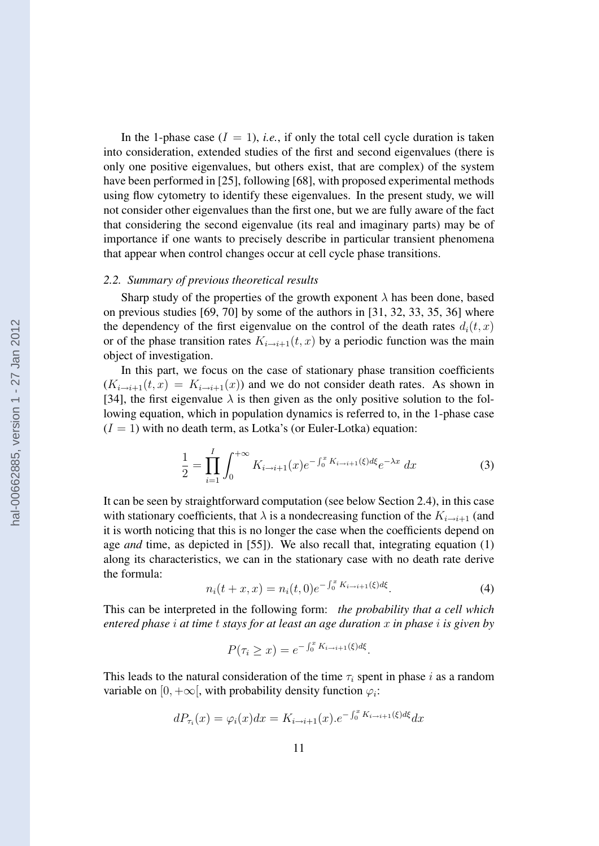<span id="page-10-0"></span>In the 1-phase case  $(I = 1)$ , *i.e.*, if only the total cell cycle duration is taken into consideration, extended studies of the first and second eigenvalues (there is only one positive eigenvalues, but others exist, that are complex) of the system have been performed in [\[25\]](#page-39-0), following [\[68\]](#page-43-0), with proposed experimental methods using flow cytometry to identify these eigenvalues. In the present study, we will not consider other eigenvalues than the first one, but we are fully aware of the fact that considering the second eigenvalue (its real and imaginary parts) may be of importance if one wants to precisely describe in particular transient phenomena that appear when control changes occur at cell cycle phase transitions.

## *2.2. Summary of previous theoretical results*

Sharp study of the properties of the growth exponent  $\lambda$  has been done, based on previous studies [\[69, 70\]](#page-43-0) by some of the authors in [\[31, 32, 33, 35, 36\]](#page-40-0) where the dependency of the first eigenvalue on the control of the death rates  $d_i(t, x)$ or of the phase transition rates  $K_{i\rightarrow i+1}(t, x)$  by a periodic function was the main object of investigation.

In this part, we focus on the case of stationary phase transition coefficients  $(K_{i\rightarrow i+1}(t, x) = K_{i\rightarrow i+1}(x))$  and we do not consider death rates. As shown in [\[34\]](#page-40-0), the first eigenvalue  $\lambda$  is then given as the only positive solution to the following equation, which in population dynamics is referred to, in the 1-phase case  $(I = 1)$  with no death term, as Lotka's (or Euler-Lotka) equation:

$$
\frac{1}{2} = \prod_{i=1}^{I} \int_0^{+\infty} K_{i \to i+1}(x) e^{-\int_0^x K_{i \to i+1}(\xi) d\xi} e^{-\lambda x} dx \tag{3}
$$

It can be seen by straightforward computation (see below Section [2.4\)](#page-13-0), in this case with stationary coefficients, that  $\lambda$  is a nondecreasing function of the  $K_{i\rightarrow i+1}$  (and it is worth noticing that this is no longer the case when the coefficients depend on age *and* time, as depicted in [\[55\]](#page-42-0)). We also recall that, integrating equation [\(1\)](#page-9-0) along its characteristics, we can in the stationary case with no death rate derive the formula:

$$
n_i(t+x,x) = n_i(t,0)e^{-\int_0^x K_{i\to i+1}(\xi)d\xi}.
$$
 (4)

This can be interpreted in the following form: *the probability that a cell which entered phase* i *at time* t *stays for at least an age duration* x *in phase* i *is given by*

$$
P(\tau_i \ge x) = e^{-\int_0^x K_{i \to i+1}(\xi) d\xi}.
$$

This leads to the natural consideration of the time  $\tau_i$  spent in phase i as a random variable on [0, + $\infty$ [, with probability density function  $\varphi_i$ :

$$
dP_{\tau_i}(x) = \varphi_i(x)dx = K_{i \to i+1}(x).e^{-\int_0^x K_{i \to i+1}(\xi)d\xi}dx
$$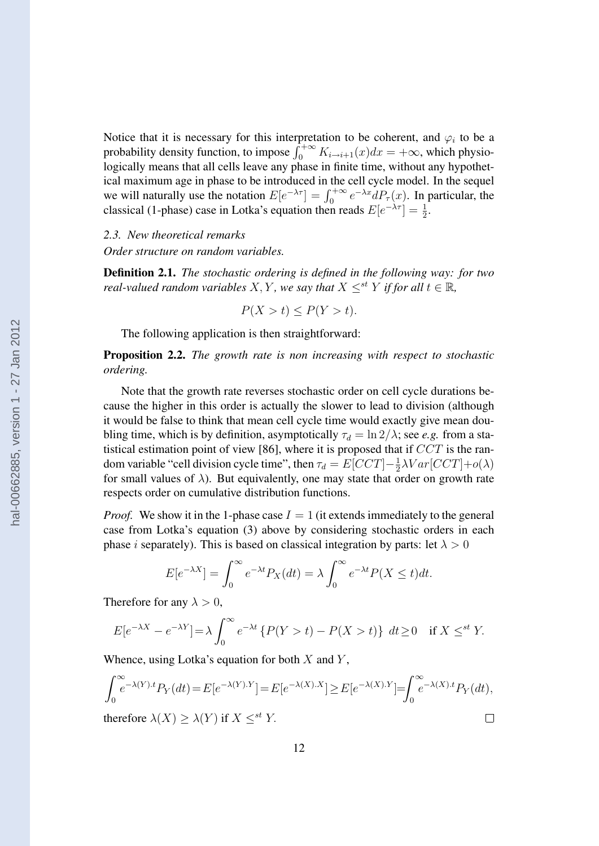<span id="page-11-0"></span>Notice that it is necessary for this interpretation to be coherent, and  $\varphi_i$  to be a probability density function, to impose  $\int_0^{+\infty} K_{i \to i+1}(x) dx = +\infty$ , which physiologically means that all cells leave any phase in finite time, without any hypothetical maximum age in phase to be introduced in the cell cycle model. In the sequel we will naturally use the notation  $E[e^{-\lambda \tau}] = \int_0^{+\infty} e^{-\lambda x} dP_\tau(x)$ . In particular, the classical (1-phase) case in Lotka's equation then reads  $E[e^{-\lambda \tau}] = \frac{1}{2}$ .

*2.3. New theoretical remarks*

*Order structure on random variables.*

Definition 2.1. *The stochastic ordering is defined in the following way: for two real-valued random variables*  $X, Y$ *, we say that*  $X \leq^{st} Y$  *if for all*  $t \in \mathbb{R}$ *,* 

 $P(X > t) \leq P(Y > t).$ 

The following application is then straightforward:

Proposition 2.2. *The growth rate is non increasing with respect to stochastic ordering.*

Note that the growth rate reverses stochastic order on cell cycle durations because the higher in this order is actually the slower to lead to division (although it would be false to think that mean cell cycle time would exactly give mean doubling time, which is by definition, asymptotically  $\tau_d = \ln 2/\lambda$ ; see *e.g.* from a sta-tistical estimation point of view [\[86\]](#page-44-0), where it is proposed that if  $CCT$  is the random variable "cell division cycle time", then  $\tau_d = E[CCT]-\frac{1}{2}$  $\frac{1}{2}\lambda Var[CCT] + o(\lambda)$ for small values of  $\lambda$ ). But equivalently, one may state that order on growth rate respects order on cumulative distribution functions.

*Proof.* We show it in the 1-phase case  $I = 1$  (it extends immediately to the general case from Lotka's equation [\(3\)](#page-10-0) above by considering stochastic orders in each phase *i* separately). This is based on classical integration by parts: let  $\lambda > 0$ 

$$
E[e^{-\lambda X}] = \int_0^\infty e^{-\lambda t} P_X(dt) = \lambda \int_0^\infty e^{-\lambda t} P(X \le t) dt.
$$

Therefore for any  $\lambda > 0$ ,

$$
E[e^{-\lambda X} - e^{-\lambda Y}] = \lambda \int_0^\infty e^{-\lambda t} \left\{ P(Y > t) - P(X > t) \right\} dt \ge 0 \quad \text{if } X \leq^{st} Y.
$$

Whence, using Lotka's equation for both  $X$  and  $Y$ ,

$$
\int_0^{\infty} e^{-\lambda(Y).t} P_Y(dt) = E[e^{-\lambda(Y).Y}] = E[e^{-\lambda(X).X}] \ge E[e^{-\lambda(X).Y}] = \int_0^{\infty} e^{-\lambda(X).t} P_Y(dt),
$$
  
therefore  $\lambda(X) > \lambda(Y)$  if  $X \leq^{st} Y$ .

therefore  $\lambda(X) \geq \lambda(Y)$  if  $X \leq^{st} Y$ .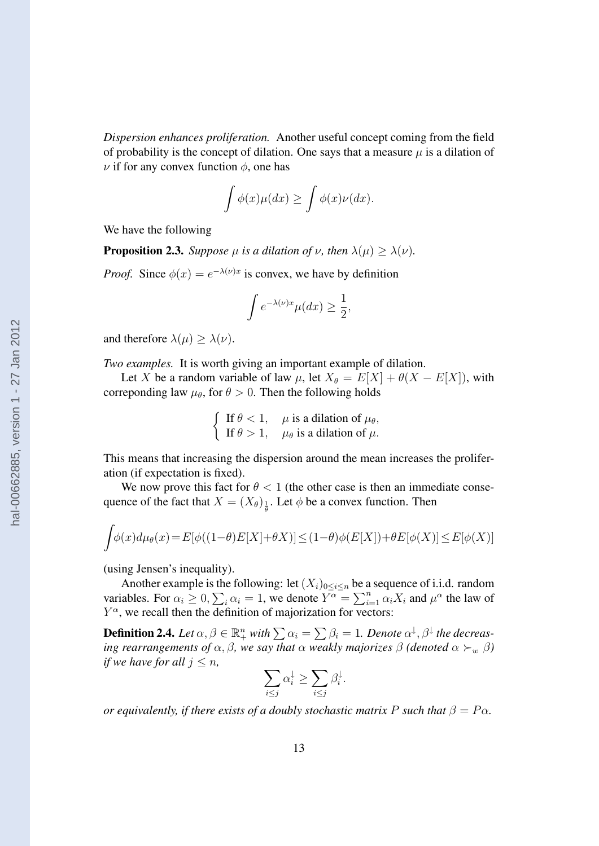*Dispersion enhances proliferation.* Another useful concept coming from the field of probability is the concept of dilation. One says that a measure  $\mu$  is a dilation of  $\nu$  if for any convex function  $\phi$ , one has

$$
\int \phi(x)\mu(dx) \ge \int \phi(x)\nu(dx).
$$

We have the following

**Proposition 2.3.** *Suppose*  $\mu$  *is a dilation of*  $\nu$ *, then*  $\lambda(\mu) \geq \lambda(\nu)$ *.* 

*Proof.* Since  $\phi(x) = e^{-\lambda(\nu)x}$  is convex, we have by definition

$$
\int e^{-\lambda(\nu)x} \mu(dx) \ge \frac{1}{2},
$$

and therefore  $\lambda(\mu) \geq \lambda(\nu)$ .

*Two examples.* It is worth giving an important example of dilation.

Let X be a random variable of law  $\mu$ , let  $X_{\theta} = E[X] + \theta(X - E[X])$ , with correponding law  $\mu_{\theta}$ , for  $\theta > 0$ . Then the following holds

> $\int$  If  $\theta$  < 1,  $\mu$  is a dilation of  $\mu_{\theta}$ , If  $\theta > 1$ ,  $\mu_{\theta}$  is a dilation of  $\mu$ .

This means that increasing the dispersion around the mean increases the proliferation (if expectation is fixed).

We now prove this fact for  $\theta < 1$  (the other case is then an immediate consequence of the fact that  $X = (X_{\theta})_{\frac{1}{\theta}}$ . Let  $\phi$  be a convex function. Then

$$
\int \!\! \phi(x) d\mu_{\theta}(x) \! = \! E[\phi((1\!-\!\theta)E[X]\!+\!\theta X)] \! \leq \! (1\!-\!\theta) \phi(E[X]) \! + \! \theta E[\phi(X)] \! \leq \! E[\phi(X)]
$$

(using Jensen's inequality).

Another example is the following: let  $(X_i)_{0 \leq i \leq n}$  be a sequence of i.i.d. random variables. For  $\alpha_i \geq 0$ ,  $\sum_i \alpha_i = 1$ , we denote  $Y^{\alpha} = \sum_{i=1}^n \alpha_i X_i$  and  $\mu^{\alpha}$  the law of  $Y^{\alpha}$ , we recall then the definition of majorization for vectors:

**Definition 2.4.** Let  $\alpha, \beta \in \mathbb{R}^n_+$  with  $\sum \alpha_i = \sum \beta_i = 1$ . Denote  $\alpha^{\downarrow}, \beta^{\downarrow}$  the decreas*ing rearrangements of*  $\alpha$ ,  $\beta$ , we say that  $\alpha$  weakly majorizes  $\beta$  (denoted  $\alpha \succ_w \beta$ ) *if we have for all*  $j \leq n$ *,* 

$$
\sum_{i \le j} \alpha_i^{\downarrow} \ge \sum_{i \le j} \beta_i^{\downarrow}.
$$

*or equivalently, if there exists of a doubly stochastic matrix* P *such that*  $\beta = P\alpha$ *.*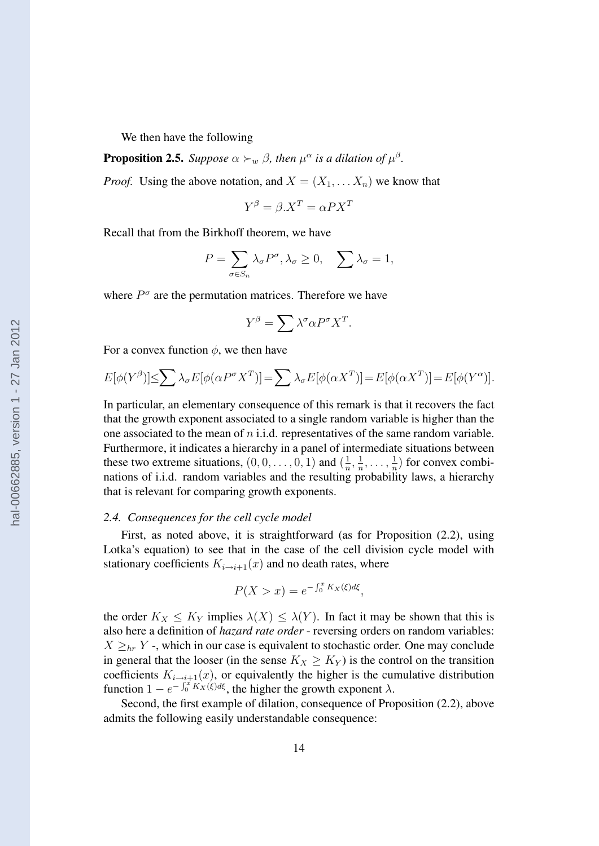<span id="page-13-0"></span>We then have the following

**Proposition 2.5.** *Suppose*  $\alpha \succ_w \beta$ , then  $\mu^{\alpha}$  is a dilation of  $\mu^{\beta}$ .

*Proof.* Using the above notation, and  $X = (X_1, \ldots, X_n)$  we know that

$$
Y^{\beta} = \beta.X^T = \alpha PX^T
$$

Recall that from the Birkhoff theorem, we have

$$
P = \sum_{\sigma \in S_n} \lambda_{\sigma} P^{\sigma}, \lambda_{\sigma} \ge 0, \quad \sum \lambda_{\sigma} = 1,
$$

where  $P^{\sigma}$  are the permutation matrices. Therefore we have

$$
Y^{\beta} = \sum \lambda^{\sigma} \alpha P^{\sigma} X^T.
$$

For a convex function  $\phi$ , we then have

$$
E[\phi(Y^{\beta})] \leq \sum \lambda_{\sigma} E[\phi(\alpha P^{\sigma} X^T)] = \sum \lambda_{\sigma} E[\phi(\alpha X^T)] = E[\phi(\alpha X^T)] = E[\phi(Y^{\alpha})].
$$

In particular, an elementary consequence of this remark is that it recovers the fact that the growth exponent associated to a single random variable is higher than the one associated to the mean of  $n$  i.i.d. representatives of the same random variable. Furthermore, it indicates a hierarchy in a panel of intermediate situations between these two extreme situations,  $(0, 0, \ldots, 0, 1)$  and  $(\frac{1}{n})$  $\frac{1}{n}, \frac{1}{n}$  $\frac{1}{n}, \ldots, \frac{1}{n}$  $\frac{1}{n}$ ) for convex combinations of i.i.d. random variables and the resulting probability laws, a hierarchy that is relevant for comparing growth exponents.

## *2.4. Consequences for the cell cycle model*

First, as noted above, it is straightforward (as for Proposition [\(2.2\)](#page-11-0), using Lotka's equation) to see that in the case of the cell division cycle model with stationary coefficients  $K_{i\rightarrow i+1}(x)$  and no death rates, where

$$
P(X > x) = e^{-\int_0^x K_X(\xi)d\xi},
$$

the order  $K_X \leq K_Y$  implies  $\lambda(X) \leq \lambda(Y)$ . In fact it may be shown that this is also here a definition of *hazard rate order* - reversing orders on random variables:  $X \geq_{hr} Y$  -, which in our case is equivalent to stochastic order. One may conclude in general that the looser (in the sense  $K_X \ge K_Y$ ) is the control on the transition coefficients  $K_{i\rightarrow i+1}(x)$ , or equivalently the higher is the cumulative distribution function  $1 - e^{-\int_0^x \hat{K}_X(\xi) d\xi}$ , the higher the growth exponent  $\lambda$ .

Second, the first example of dilation, consequence of Proposition [\(2.2\)](#page-11-0), above admits the following easily understandable consequence: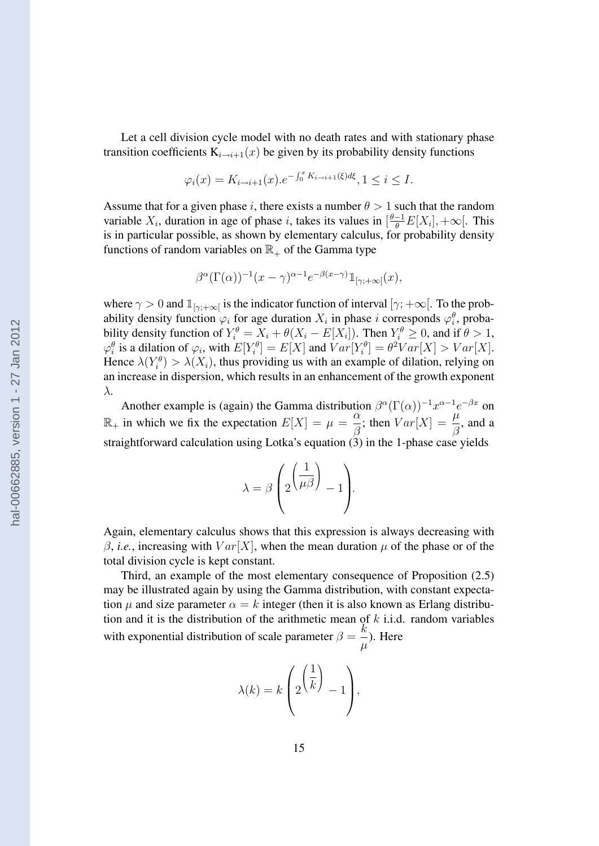Let a cell division cycle model with no death rates and with stationary phase transition coefficients  $K_{i\rightarrow i+1}(x)$  be given by its probability density functions

$$
\varphi_i(x) = K_{i \to i+1}(x) . e^{-\int_0^x K_{i \to i+1}(\xi) d\xi}, 1 \le i \le I.
$$

Assume that for a given phase i, there exists a number  $\theta > 1$  such that the random variable  $X_i$ , duration in age of phase i, takes its values in  $\left[\frac{\theta-1}{\theta}E[X_i], +\infty\right]$ . This is in particular possible, as shown by elementary calculus, for probability density functions of random variables on  $\mathbb{R}_+$  of the Gamma type

$$
\beta^{\alpha}(\Gamma(\alpha))^{-1}(x-\gamma)^{\alpha-1}e^{-\beta(x-\gamma)}1_{[\gamma;+\infty[}(x),
$$

where  $\gamma > 0$  and  $\mathbb{1}_{[\gamma;+\infty]}$  is the indicator function of interval  $[\gamma;+\infty]$ . To the probability density function  $\varphi_i$  for age duration  $X_i$  in phase i corresponds  $\varphi_i^{\theta}$ , probability density function of  $Y_i^{\theta} = X_i + \theta(X_i - E[X_i])$ . Then  $Y_i^{\theta} \ge 0$ , and if  $\theta > 1$ ,  $\varphi_i^{\theta}$  is a dilation of  $\varphi_i$ , with  $E[Y_i^{\theta}] = E[X]$  and  $Var[Y_i^{\theta}] = \theta^2 Var[X] > Var[X]$ . Hence  $\lambda(Y_i^{\theta}) > \lambda(X_i)$ , thus providing us with an example of dilation, relying on an increase in dispersion, which results in an enhancement of the growth exponent λ.

Another example is (again) the Gamma distribution  $\beta^{\alpha}(\Gamma(\alpha))^{-1}x^{\alpha-1}e^{-\beta x}$  on  $\mathbb{R}_+$  in which we fix the expectation  $E[X] = \mu = \frac{\alpha}{\beta}$  $\frac{\alpha}{\beta}$ ; then  $Var[X] = \frac{\mu}{\beta}$ , and a straightforward calculation using Lotka's equation [\(3\)](#page-10-0) in the 1-phase case yields

$$
\lambda = \beta \left( 2 \left( \frac{1}{\mu \beta} \right) - 1 \right).
$$

Again, elementary calculus shows that this expression is always decreasing with  $\beta$ , *i.e.*, increasing with  $Var[X]$ , when the mean duration  $\mu$  of the phase or of the total division cycle is kept constant.

Third, an example of the most elementary consequence of Proposition [\(2.5\)](#page-13-0) may be illustrated again by using the Gamma distribution, with constant expectation  $\mu$  and size parameter  $\alpha = k$  integer (then it is also known as Erlang distribution and it is the distribution of the arithmetic mean of  $k$  i.i.d. random variables with exponential distribution of scale parameter  $\beta =$ k  $\frac{1}{\mu}$ ). Here

$$
\lambda(k) = k \left( 2^{\left(\frac{1}{k}\right)} - 1 \right),
$$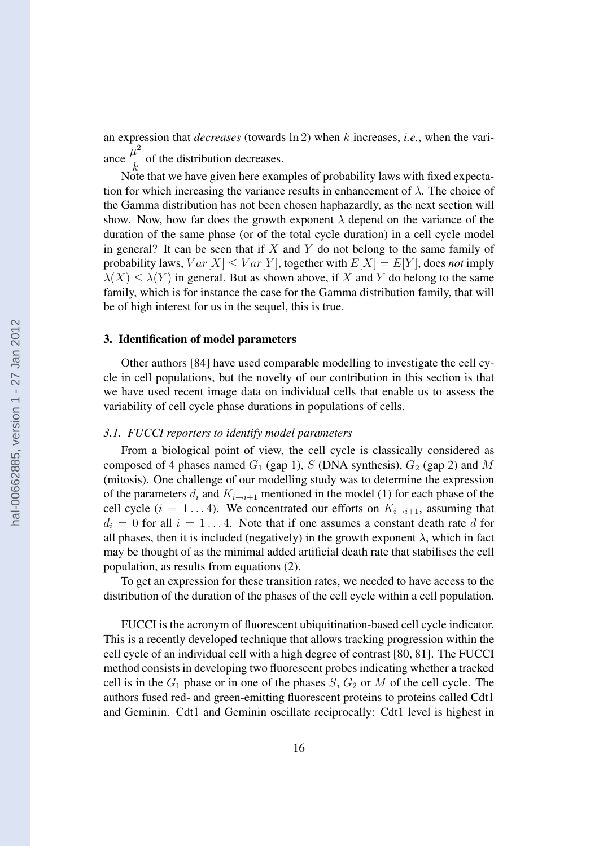<span id="page-15-0"></span>an expression that *decreases* (towards ln 2) when k increases, *i.e.*, when the variance  $\mu^2$  $\frac{x}{k}$  of the distribution decreases.

Note that we have given here examples of probability laws with fixed expectation for which increasing the variance results in enhancement of  $\lambda$ . The choice of the Gamma distribution has not been chosen haphazardly, as the next section will show. Now, how far does the growth exponent  $\lambda$  depend on the variance of the duration of the same phase (or of the total cycle duration) in a cell cycle model in general? It can be seen that if  $X$  and  $Y$  do not belong to the same family of probability laws,  $Var[X] \leq Var[Y]$ , together with  $E[X] = E[Y]$ , does *not* imply  $\lambda(X) \leq \lambda(Y)$  in general. But as shown above, if X and Y do belong to the same family, which is for instance the case for the Gamma distribution family, that will be of high interest for us in the sequel, this is true.

## 3. Identification of model parameters

Other authors [\[84\]](#page-44-0) have used comparable modelling to investigate the cell cycle in cell populations, but the novelty of our contribution in this section is that we have used recent image data on individual cells that enable us to assess the variability of cell cycle phase durations in populations of cells.

## *3.1. FUCCI reporters to identify model parameters*

From a biological point of view, the cell cycle is classically considered as composed of 4 phases named  $G_1$  (gap 1), S (DNA synthesis),  $G_2$  (gap 2) and M (mitosis). One challenge of our modelling study was to determine the expression of the parameters  $d_i$  and  $K_{i\rightarrow i+1}$  mentioned in the model [\(1\)](#page-9-0) for each phase of the cell cycle ( $i = 1...4$ ). We concentrated our efforts on  $K_{i\rightarrow i+1}$ , assuming that  $d_i = 0$  for all  $i = 1...4$ . Note that if one assumes a constant death rate d for all phases, then it is included (negatively) in the growth exponent  $\lambda$ , which in fact may be thought of as the minimal added artificial death rate that stabilises the cell population, as results from equations [\(2\)](#page-9-0).

To get an expression for these transition rates, we needed to have access to the distribution of the duration of the phases of the cell cycle within a cell population.

FUCCI is the acronym of fluorescent ubiquitination-based cell cycle indicator. This is a recently developed technique that allows tracking progression within the cell cycle of an individual cell with a high degree of contrast [\[80, 81\]](#page-44-0). The FUCCI method consists in developing two fluorescent probes indicating whether a tracked cell is in the  $G_1$  phase or in one of the phases  $S$ ,  $G_2$  or M of the cell cycle. The authors fused red- and green-emitting fluorescent proteins to proteins called Cdt1 and Geminin. Cdt1 and Geminin oscillate reciprocally: Cdt1 level is highest in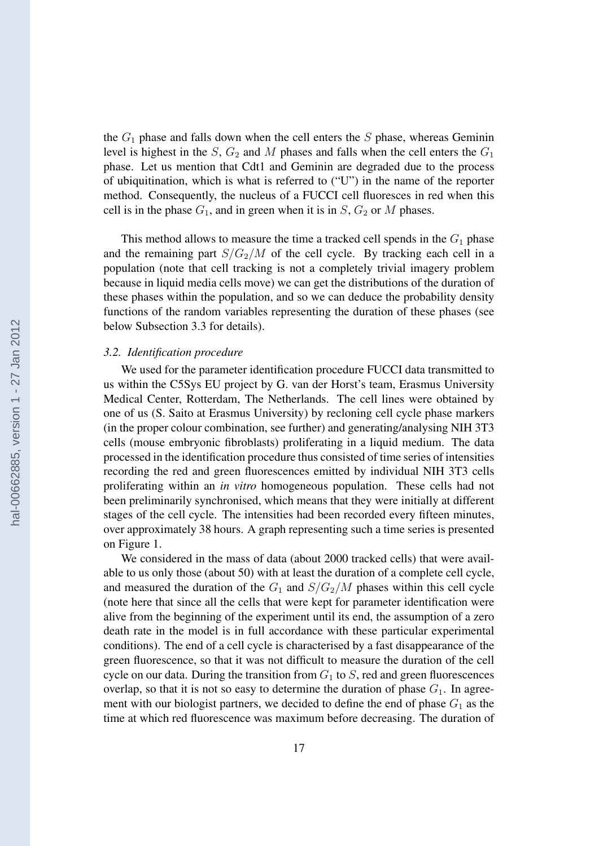<span id="page-16-0"></span>the  $G_1$  phase and falls down when the cell enters the S phase, whereas Geminin level is highest in the S,  $G_2$  and M phases and falls when the cell enters the  $G_1$ phase. Let us mention that Cdt1 and Geminin are degraded due to the process of ubiquitination, which is what is referred to ("U") in the name of the reporter method. Consequently, the nucleus of a FUCCI cell fluoresces in red when this cell is in the phase  $G_1$ , and in green when it is in  $S$ ,  $G_2$  or M phases.

This method allows to measure the time a tracked cell spends in the  $G_1$  phase and the remaining part  $S/G_2/M$  of the cell cycle. By tracking each cell in a population (note that cell tracking is not a completely trivial imagery problem because in liquid media cells move) we can get the distributions of the duration of these phases within the population, and so we can deduce the probability density functions of the random variables representing the duration of these phases (see below Subsection [3.3](#page-17-0) for details).

## *3.2. Identification procedure*

We used for the parameter identification procedure FUCCI data transmitted to us within the C5Sys EU project by G. van der Horst's team, Erasmus University Medical Center, Rotterdam, The Netherlands. The cell lines were obtained by one of us (S. Saito at Erasmus University) by recloning cell cycle phase markers (in the proper colour combination, see further) and generating/analysing NIH 3T3 cells (mouse embryonic fibroblasts) proliferating in a liquid medium. The data processed in the identification procedure thus consisted of time series of intensities recording the red and green fluorescences emitted by individual NIH 3T3 cells proliferating within an *in vitro* homogeneous population. These cells had not been preliminarily synchronised, which means that they were initially at different stages of the cell cycle. The intensities had been recorded every fifteen minutes, over approximately 38 hours. A graph representing such a time series is presented on Figure [1.](#page-17-0)

We considered in the mass of data (about 2000 tracked cells) that were available to us only those (about 50) with at least the duration of a complete cell cycle, and measured the duration of the  $G_1$  and  $S/G_2/M$  phases within this cell cycle (note here that since all the cells that were kept for parameter identification were alive from the beginning of the experiment until its end, the assumption of a zero death rate in the model is in full accordance with these particular experimental conditions). The end of a cell cycle is characterised by a fast disappearance of the green fluorescence, so that it was not difficult to measure the duration of the cell cycle on our data. During the transition from  $G_1$  to  $S$ , red and green fluorescences overlap, so that it is not so easy to determine the duration of phase  $G_1$ . In agreement with our biologist partners, we decided to define the end of phase  $G_1$  as the time at which red fluorescence was maximum before decreasing. The duration of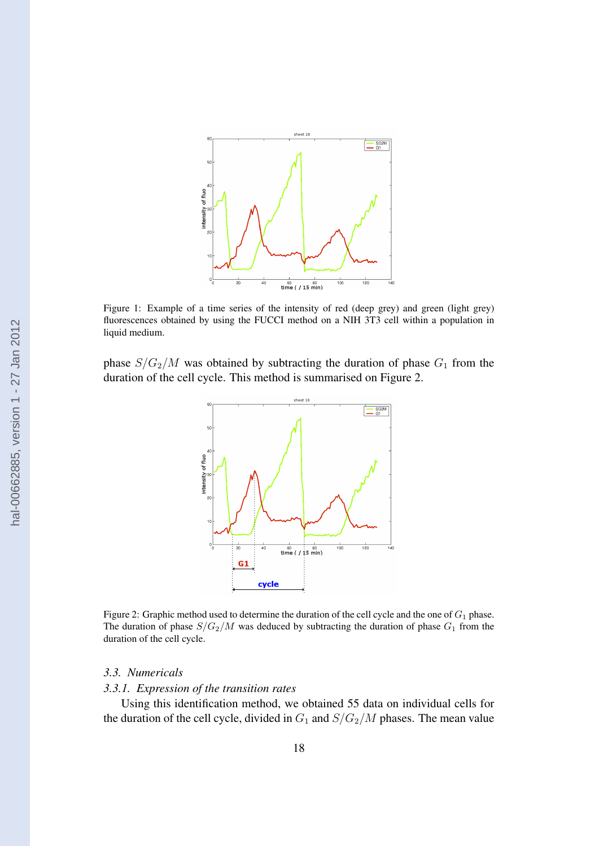<span id="page-17-0"></span>

Figure 1: Example of a time series of the intensity of red (deep grey) and green (light grey) fluorescences obtained by using the FUCCI method on a NIH 3T3 cell within a population in liquid medium.

phase  $S/G_2/M$  was obtained by subtracting the duration of phase  $G_1$  from the duration of the cell cycle. This method is summarised on Figure 2.



Figure 2: Graphic method used to determine the duration of the cell cycle and the one of  $G_1$  phase. The duration of phase  $S/G_2/M$  was deduced by subtracting the duration of phase  $G_1$  from the duration of the cell cycle.

## *3.3. Numericals*

## *3.3.1. Expression of the transition rates*

Using this identification method, we obtained 55 data on individual cells for the duration of the cell cycle, divided in  $G_1$  and  $S/G_2/M$  phases. The mean value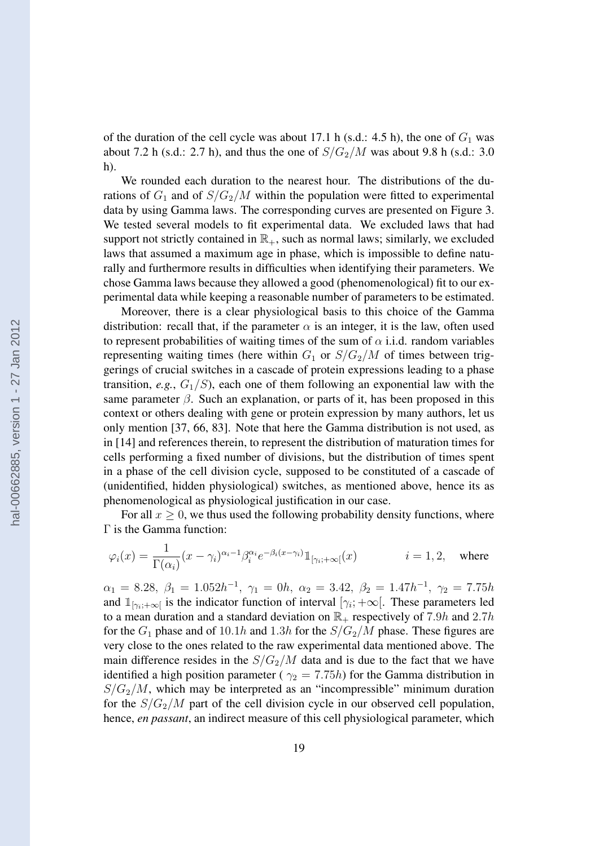of the duration of the cell cycle was about 17.1 h (s.d.: 4.5 h), the one of  $G_1$  was about 7.2 h (s.d.: 2.7 h), and thus the one of  $S/G_2/M$  was about 9.8 h (s.d.: 3.0) h).

We rounded each duration to the nearest hour. The distributions of the durations of  $G_1$  and of  $S/G_2/M$  within the population were fitted to experimental data by using Gamma laws. The corresponding curves are presented on Figure [3.](#page-19-0) We tested several models to fit experimental data. We excluded laws that had support not strictly contained in  $\mathbb{R}_+$ , such as normal laws; similarly, we excluded laws that assumed a maximum age in phase, which is impossible to define naturally and furthermore results in difficulties when identifying their parameters. We chose Gamma laws because they allowed a good (phenomenological) fit to our experimental data while keeping a reasonable number of parameters to be estimated.

Moreover, there is a clear physiological basis to this choice of the Gamma distribution: recall that, if the parameter  $\alpha$  is an integer, it is the law, often used to represent probabilities of waiting times of the sum of  $\alpha$  i.i.d. random variables representing waiting times (here within  $G_1$  or  $S/G_2/M$  of times between triggerings of crucial switches in a cascade of protein expressions leading to a phase transition, *e.g.*,  $G_1/S$ , each one of them following an exponential law with the same parameter  $\beta$ . Such an explanation, or parts of it, has been proposed in this context or others dealing with gene or protein expression by many authors, let us only mention [\[37,](#page-40-0) [66,](#page-43-0) [83\]](#page-44-0). Note that here the Gamma distribution is not used, as in [\[14\]](#page-38-0) and references therein, to represent the distribution of maturation times for cells performing a fixed number of divisions, but the distribution of times spent in a phase of the cell division cycle, supposed to be constituted of a cascade of (unidentified, hidden physiological) switches, as mentioned above, hence its as phenomenological as physiological justification in our case.

For all  $x \geq 0$ , we thus used the following probability density functions, where Γ is the Gamma function:

$$
\varphi_i(x) = \frac{1}{\Gamma(\alpha_i)} (x - \gamma_i)^{\alpha_i - 1} \beta_i^{\alpha_i} e^{-\beta_i (x - \gamma_i)} \mathbb{1}_{[\gamma_i; +\infty[}(x)) \qquad i = 1, 2, \quad \text{where}
$$

 $\alpha_1 = 8.28, \ \beta_1 = 1.052h^{-1}, \ \gamma_1 = 0h, \ \alpha_2 = 3.42, \ \beta_2 = 1.47h^{-1}, \ \gamma_2 = 7.75h$ and  $\mathbb{1}_{[\gamma_i;+\infty]}$  is the indicator function of interval  $[\gamma_i;+\infty]$ . These parameters led to a mean duration and a standard deviation on  $\mathbb{R}_+$  respectively of 7.9h and 2.7h for the  $G_1$  phase and of 10.1h and 1.3h for the  $S/G_2/M$  phase. These figures are very close to the ones related to the raw experimental data mentioned above. The main difference resides in the  $S/G_2/M$  data and is due to the fact that we have identified a high position parameter ( $\gamma_2 = 7.75h$ ) for the Gamma distribution in  $S/G_2/M$ , which may be interpreted as an "incompressible" minimum duration for the  $S/G_2/M$  part of the cell division cycle in our observed cell population, hence, *en passant*, an indirect measure of this cell physiological parameter, which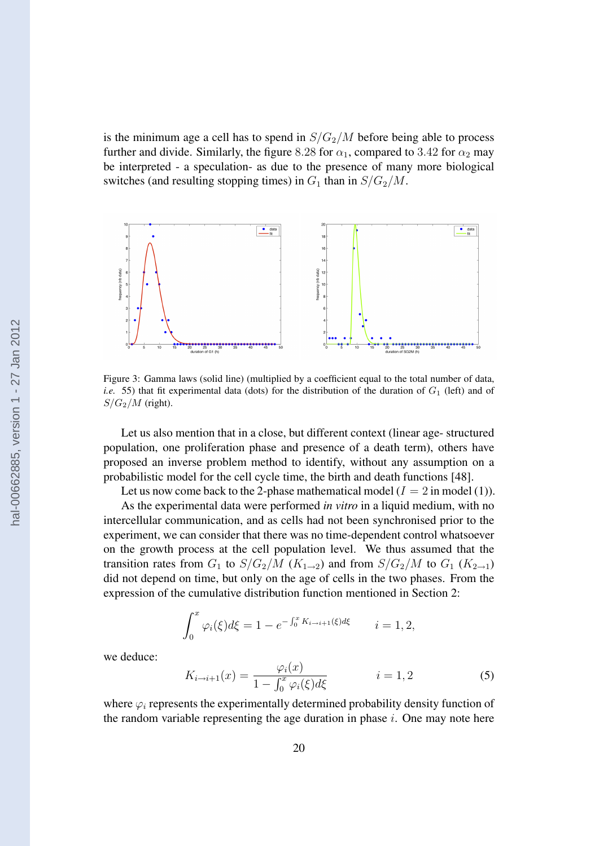<span id="page-19-0"></span>is the minimum age a cell has to spend in  $S/G_2/M$  before being able to process further and divide. Similarly, the figure 8.28 for  $\alpha_1$ , compared to 3.42 for  $\alpha_2$  may be interpreted - a speculation- as due to the presence of many more biological switches (and resulting stopping times) in  $G_1$  than in  $S/G_2/M$ .



Figure 3: Gamma laws (solid line) (multiplied by a coefficient equal to the total number of data, *i.e.* 55) that fit experimental data (dots) for the distribution of the duration of  $G_1$  (left) and of  $S/G_2/M$  (right).

Let us also mention that in a close, but different context (linear age- structured population, one proliferation phase and presence of a death term), others have proposed an inverse problem method to identify, without any assumption on a probabilistic model for the cell cycle time, the birth and death functions [\[48\]](#page-41-0).

Let us now come back to the 2-phase mathematical model  $(I = 2 \text{ in model} (1)).$  $(I = 2 \text{ in model} (1)).$  $(I = 2 \text{ in model} (1)).$ 

As the experimental data were performed *in vitro* in a liquid medium, with no intercellular communication, and as cells had not been synchronised prior to the experiment, we can consider that there was no time-dependent control whatsoever on the growth process at the cell population level. We thus assumed that the transition rates from  $G_1$  to  $S/G_2/M$  ( $K_{1\rightarrow 2}$ ) and from  $S/G_2/M$  to  $G_1$  ( $K_{2\rightarrow 1}$ ) did not depend on time, but only on the age of cells in the two phases. From the expression of the cumulative distribution function mentioned in Section [2:](#page-8-0)

$$
\int_0^x \varphi_i(\xi) d\xi = 1 - e^{-\int_0^x K_{i \to i+1}(\xi) d\xi} \qquad i = 1, 2,
$$

we deduce:

$$
K_{i \to i+1}(x) = \frac{\varphi_i(x)}{1 - \int_0^x \varphi_i(\xi) d\xi} \qquad i = 1, 2
$$
 (5)

where  $\varphi_i$  represents the experimentally determined probability density function of the random variable representing the age duration in phase  $i$ . One may note here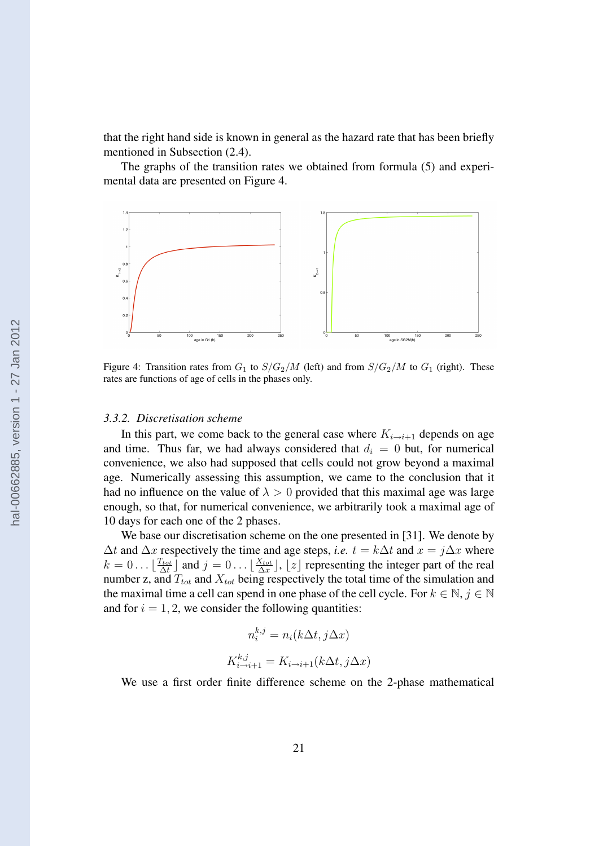<span id="page-20-0"></span>that the right hand side is known in general as the hazard rate that has been briefly mentioned in Subsection [\(2.4\)](#page-13-0).

The graphs of the transition rates we obtained from formula [\(5\)](#page-19-0) and experimental data are presented on Figure 4.



Figure 4: Transition rates from  $G_1$  to  $S/G_2/M$  (left) and from  $S/G_2/M$  to  $G_1$  (right). These rates are functions of age of cells in the phases only.

#### *3.3.2. Discretisation scheme*

In this part, we come back to the general case where  $K_{i\rightarrow i+1}$  depends on age and time. Thus far, we had always considered that  $d_i = 0$  but, for numerical convenience, we also had supposed that cells could not grow beyond a maximal age. Numerically assessing this assumption, we came to the conclusion that it had no influence on the value of  $\lambda > 0$  provided that this maximal age was large enough, so that, for numerical convenience, we arbitrarily took a maximal age of 10 days for each one of the 2 phases.

We base our discretisation scheme on the one presented in [\[31\]](#page-40-0). We denote by  $\Delta t$  and  $\Delta x$  respectively the time and age steps, *i.e.*  $t = k\Delta t$  and  $x = j\Delta x$  where  $k=0\ldots\lfloor \frac{T_{tot}}{\Delta t}$  $\frac{T_{tot}}{\Delta t}$  and  $j = 0 \dots \lfloor \frac{X_{tot}}{\Delta x}$  $\frac{X_{tot}}{\Delta x}$ ,  $[z]$  representing the integer part of the real number z, and  $T_{tot}$  and  $X_{tot}$  being respectively the total time of the simulation and the maximal time a cell can spend in one phase of the cell cycle. For  $k \in \mathbb{N}$ ,  $j \in \mathbb{N}$ and for  $i = 1, 2$ , we consider the following quantities:

$$
n_i^{k,j} = n_i(k\Delta t, j\Delta x)
$$

$$
K_{i \to i+1}^{k,j} = K_{i \to i+1}(k\Delta t, j\Delta x)
$$

We use a first order finite difference scheme on the 2-phase mathematical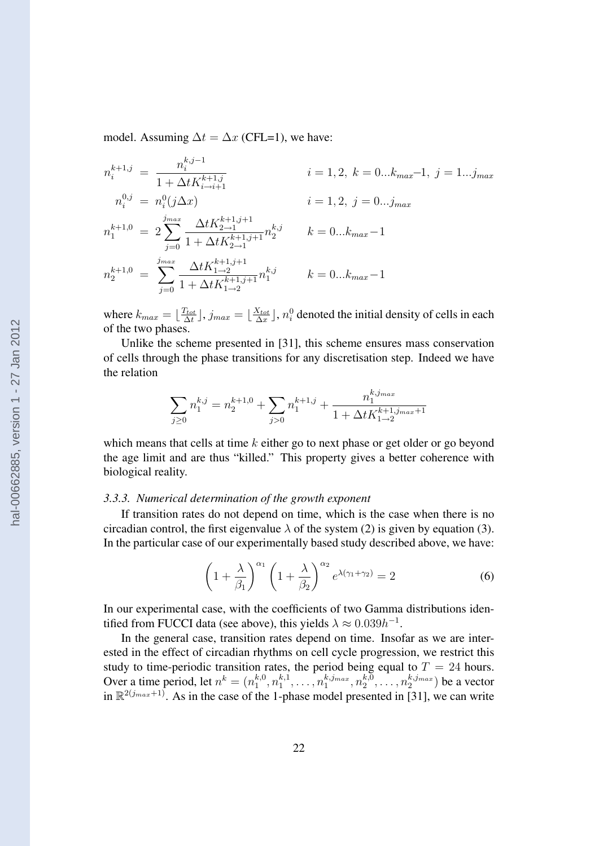<span id="page-21-0"></span>model. Assuming  $\Delta t = \Delta x$  (CFL=1), we have:

$$
n_i^{k+1,j} = \frac{n_i^{k,j-1}}{1 + \Delta t K_{i \to i+1}^{k+1,j}} \qquad i = 1, 2, k = 0...k_{max}-1, j = 1...j_{max}
$$
  
\n
$$
n_i^{0,j} = n_i^0(j\Delta x) \qquad i = 1, 2, j = 0...j_{max}
$$
  
\n
$$
n_1^{k+1,0} = 2 \sum_{j=0}^{j_{max}} \frac{\Delta t K_{2\to 1}^{k+1,j+1}}{1 + \Delta t K_{2\to 1}^{k+1,j+1}} n_2^{k,j} \qquad k = 0...k_{max}-1
$$
  
\n
$$
n_2^{k+1,0} = \sum_{j=0}^{j_{max}} \frac{\Delta t K_{1\to 2}^{k+1,j+1}}{1 + \Delta t K_{1\to 2}^{k+1,j+1}} n_1^{k,j} \qquad k = 0...k_{max}-1
$$

where  $k_{max} = \lfloor \frac{T_{tot}}{\Delta t} \rfloor$  $\frac{T_{tot}}{\Delta t}$   $], j_{max} = \lfloor \frac{X_{tot}}{\Delta x}$  $\frac{X_{tot}}{\Delta x}$  ],  $n_i^0$  denoted the initial density of cells in each of the two phases.

Unlike the scheme presented in [\[31\]](#page-40-0), this scheme ensures mass conservation of cells through the phase transitions for any discretisation step. Indeed we have the relation

$$
\sum_{j\geq 0} n_1^{k,j} = n_2^{k+1,0} + \sum_{j>0} n_1^{k+1,j} + \frac{n_1^{k,j_{max}}}{1 + \Delta t K_{1\to 2}^{k+1,j_{max}+1}}
$$

which means that cells at time  $k$  either go to next phase or get older or go beyond the age limit and are thus "killed." This property gives a better coherence with biological reality.

## *3.3.3. Numerical determination of the growth exponent*

If transition rates do not depend on time, which is the case when there is no circadian control, the first eigenvalue  $\lambda$  of the system [\(2\)](#page-9-0) is given by equation [\(3\)](#page-10-0). In the particular case of our experimentally based study described above, we have:

$$
\left(1+\frac{\lambda}{\beta_1}\right)^{\alpha_1}\left(1+\frac{\lambda}{\beta_2}\right)^{\alpha_2}e^{\lambda(\gamma_1+\gamma_2)}=2\tag{6}
$$

In our experimental case, with the coefficients of two Gamma distributions identified from FUCCI data (see above), this yields  $\lambda \approx 0.039h^{-1}$ .

In the general case, transition rates depend on time. Insofar as we are interested in the effect of circadian rhythms on cell cycle progression, we restrict this study to time-periodic transition rates, the period being equal to  $T = 24$  hours. Over a time period, let  $n^k = (n_1^{k,0})$  $_{1}^{k,0},n_{1}^{k,1}$  $\binom{k,1}{1},\ldots,n_1^{k,j_{max}}$  $_{1}^{k,j_{max}},n_{2}^{k,0}$  $x_2^{k,0},\ldots,n_2^{k,j_{max}}$  $\binom{k, j_{max}}{2}$  be a vector in  $\mathbb{R}^{2(j_{max}+1)}$ . As in the case of the 1-phase model presented in [\[31\]](#page-40-0), we can write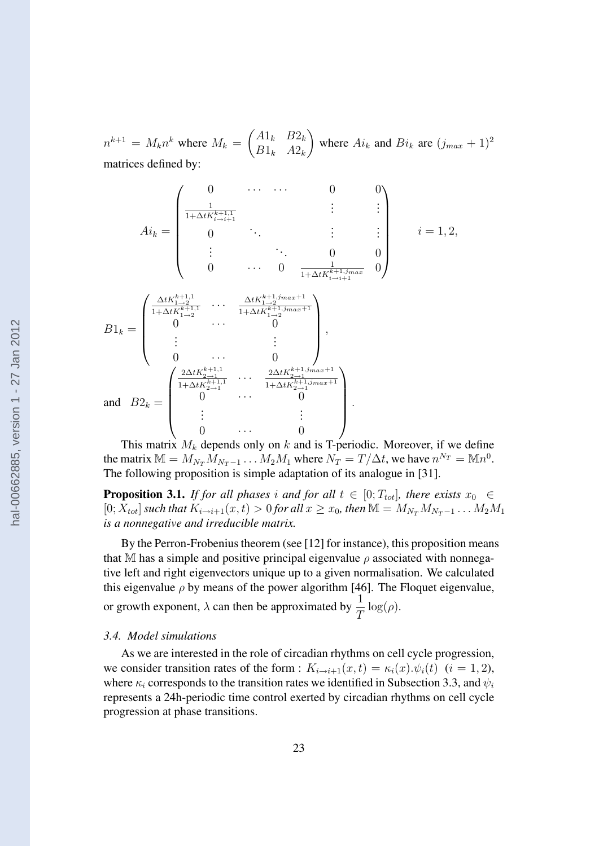<span id="page-22-0"></span> $n^{k+1} = M_k n^k$  where  $M_k = \begin{pmatrix} A1_k & B2_k \\ B1 & A2 \end{pmatrix}$  $B1_k$   $A2_k$ where  $Ai_k$  and  $Bi_k$  are  $(j_{max} + 1)^2$ matrices defined by:

$$
Ai_{k} = \begin{pmatrix} 0 & \cdots & \cdots & 0 & 0 \\ \frac{1}{1 + \Delta t K_{i \to i+1}^{k+1,1}} & & & \vdots & \vdots \\ 0 & \ddots & & & \vdots & \vdots \\ 0 & \cdots & 0 & \frac{1}{1 + \Delta t K_{i \to i+1}^{k+1,1,max}} & 0 \end{pmatrix} \qquad i = 1, 2,
$$
  
\n
$$
B1_{k} = \begin{pmatrix} \frac{\Delta t K_{1 \to 2}^{k+1,1}}{1 + \Delta t K_{1 \to 2}^{k+1,1}} & \cdots & \frac{\Delta t K_{1 \to 2}^{k+1,1,max+1}}{1 + \Delta t K_{1 \to 2}^{k+1,1,max+1}} \\ 0 & \cdots & 0 & \\ \vdots & & & \vdots & \\ 0 & \cdots & 0 & \end{pmatrix},
$$
  
\nand 
$$
B2_{k} = \begin{pmatrix} \frac{2\Delta t K_{2 \to 1}^{k+1,1}}{1 + \Delta t K_{2 \to 1}^{k+1,1}} & \cdots & \frac{2\Delta t K_{2 \to 1}^{k+1,1,max+1}}{1 + \Delta t K_{2 \to 1}^{k+1,1,max+1}} \\ \vdots & & & \vdots & \\ 0 & \cdots & 0 & \end{pmatrix}.
$$

This matrix  $M_k$  depends only on k and is T-periodic. Moreover, if we define the matrix  $\mathbb{M} = M_{N_T} M_{N_T-1} \dots M_2 M_1$  where  $N_T = T/\Delta t$ , we have  $n^{N_T} = \mathbb{M} n^0$ . The following proposition is simple adaptation of its analogue in [\[31\]](#page-40-0).

**Proposition 3.1.** *If for all phases i and for all*  $t \in [0; T_{tot}]$ *, there exists*  $x_0 \in$  $[0; X_{tot}]$  such that  $K_{i\to i+1}(x,t) > 0$  for all  $x \ge x_0$ , then  $\mathbb{M} = M_{N_T} M_{N_T-1} \dots M_2 M_1$ *is a nonnegative and irreducible matrix.*

By the Perron-Frobenius theorem (see [\[12\]](#page-38-0) for instance), this proposition means that M has a simple and positive principal eigenvalue  $\rho$  associated with nonnegative left and right eigenvectors unique up to a given normalisation. We calculated this eigenvalue  $\rho$  by means of the power algorithm [\[46\]](#page-41-0). The Floquet eigenvalue, or growth exponent,  $\lambda$  can then be approximated by  $\frac{1}{T} \log(\rho)$ .

#### *3.4. Model simulations*

As we are interested in the role of circadian rhythms on cell cycle progression, we consider transition rates of the form :  $K_{i\rightarrow i+1}(x,t) = \kappa_i(x) \cdot \psi_i(t)$  (i = 1, 2), where  $\kappa_i$  corresponds to the transition rates we identified in Subsection [3.3,](#page-17-0) and  $\psi_i$ represents a 24h-periodic time control exerted by circadian rhythms on cell cycle progression at phase transitions.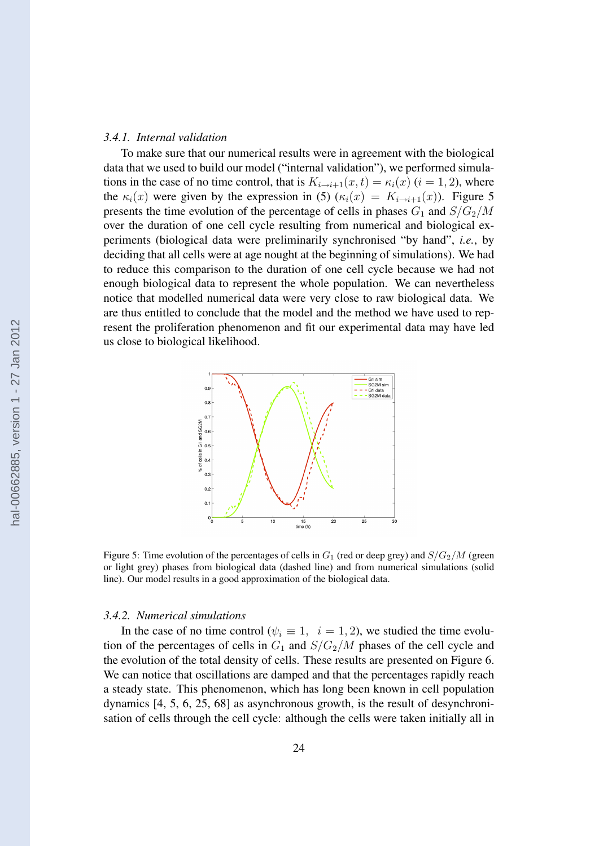#### <span id="page-23-0"></span>*3.4.1. Internal validation*

To make sure that our numerical results were in agreement with the biological data that we used to build our model ("internal validation"), we performed simulations in the case of no time control, that is  $K_{i\rightarrow i+1}(x,t) = \kappa_i(x)$   $(i = 1, 2)$ , where the  $\kappa_i(x)$  were given by the expression in [\(5\)](#page-19-0)  $(\kappa_i(x)) = K_{i \to i+1}(x)$ . Figure 5 presents the time evolution of the percentage of cells in phases  $G_1$  and  $S/G_2/M$ over the duration of one cell cycle resulting from numerical and biological experiments (biological data were preliminarily synchronised "by hand", *i.e.*, by deciding that all cells were at age nought at the beginning of simulations). We had to reduce this comparison to the duration of one cell cycle because we had not enough biological data to represent the whole population. We can nevertheless notice that modelled numerical data were very close to raw biological data. We are thus entitled to conclude that the model and the method we have used to represent the proliferation phenomenon and fit our experimental data may have led us close to biological likelihood.



Figure 5: Time evolution of the percentages of cells in  $G_1$  (red or deep grey) and  $S/G_2/M$  (green or light grey) phases from biological data (dashed line) and from numerical simulations (solid line). Our model results in a good approximation of the biological data.

#### *3.4.2. Numerical simulations*

In the case of no time control ( $\psi_i \equiv 1, i = 1, 2$ ), we studied the time evolution of the percentages of cells in  $G_1$  and  $S/G_2/M$  phases of the cell cycle and the evolution of the total density of cells. These results are presented on Figure [6.](#page-24-0) We can notice that oscillations are damped and that the percentages rapidly reach a steady state. This phenomenon, which has long been known in cell population dynamics [\[4, 5,](#page-37-0) [6,](#page-38-0) [25,](#page-39-0) [68\]](#page-43-0) as asynchronous growth, is the result of desynchronisation of cells through the cell cycle: although the cells were taken initially all in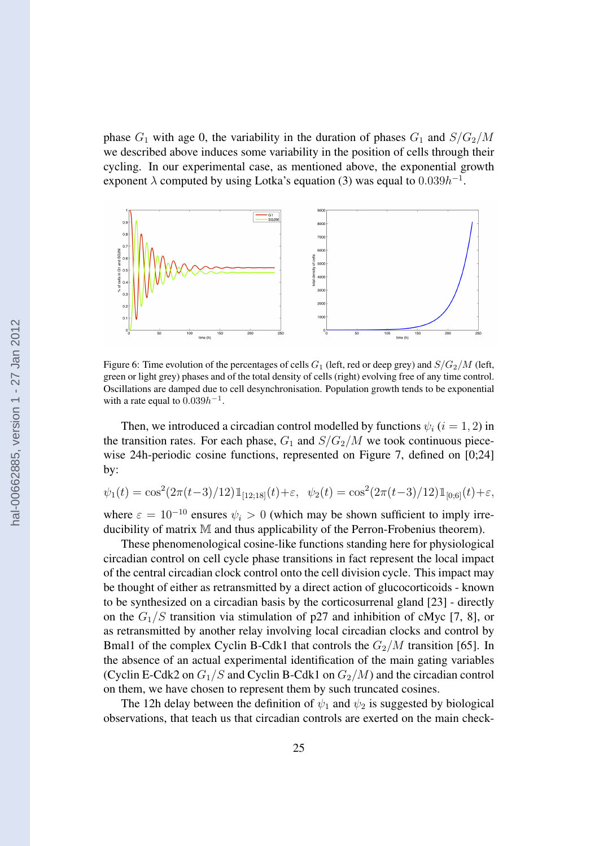<span id="page-24-0"></span>phase  $G_1$  with age 0, the variability in the duration of phases  $G_1$  and  $S/G_2/M$ we described above induces some variability in the position of cells through their cycling. In our experimental case, as mentioned above, the exponential growth exponent  $\lambda$  computed by using Lotka's equation [\(3\)](#page-10-0) was equal to  $0.039h^{-1}$ .



Figure 6: Time evolution of the percentages of cells  $G_1$  (left, red or deep grey) and  $S/G_2/M$  (left, green or light grey) phases and of the total density of cells (right) evolving free of any time control. Oscillations are damped due to cell desynchronisation. Population growth tends to be exponential with a rate equal to  $0.039h^{-1}$ .

Then, we introduced a circadian control modelled by functions  $\psi_i$  (i = 1, 2) in the transition rates. For each phase,  $G_1$  and  $S/G_2/M$  we took continuous piecewise 24h-periodic cosine functions, represented on Figure [7,](#page-25-0) defined on [0;24] by:

$$
\psi_1(t) = \cos^2(2\pi(t-3)/12) \mathbb{1}_{[12;18]}(t) + \varepsilon, \quad \psi_2(t) = \cos^2(2\pi(t-3)/12) \mathbb{1}_{[0;6]}(t) + \varepsilon,
$$

where  $\varepsilon = 10^{-10}$  ensures  $\psi_i > 0$  (which may be shown sufficient to imply irreducibility of matrix M and thus applicability of the Perron-Frobenius theorem).

These phenomenological cosine-like functions standing here for physiological circadian control on cell cycle phase transitions in fact represent the local impact of the central circadian clock control onto the cell division cycle. This impact may be thought of either as retransmitted by a direct action of glucocorticoids - known to be synthesized on a circadian basis by the corticosurrenal gland [\[23\]](#page-39-0) - directly on the  $G_1/S$  transition via stimulation of p27 and inhibition of cMyc [\[7, 8\]](#page-38-0), or as retransmitted by another relay involving local circadian clocks and control by Bmal1 of the complex Cyclin B-Cdk1 that controls the  $G_2/M$  transition [\[65\]](#page-43-0). In the absence of an actual experimental identification of the main gating variables (Cyclin E-Cdk2 on  $G_1/S$  and Cyclin B-Cdk1 on  $G_2/M$ ) and the circadian control on them, we have chosen to represent them by such truncated cosines.

The 12h delay between the definition of  $\psi_1$  and  $\psi_2$  is suggested by biological observations, that teach us that circadian controls are exerted on the main check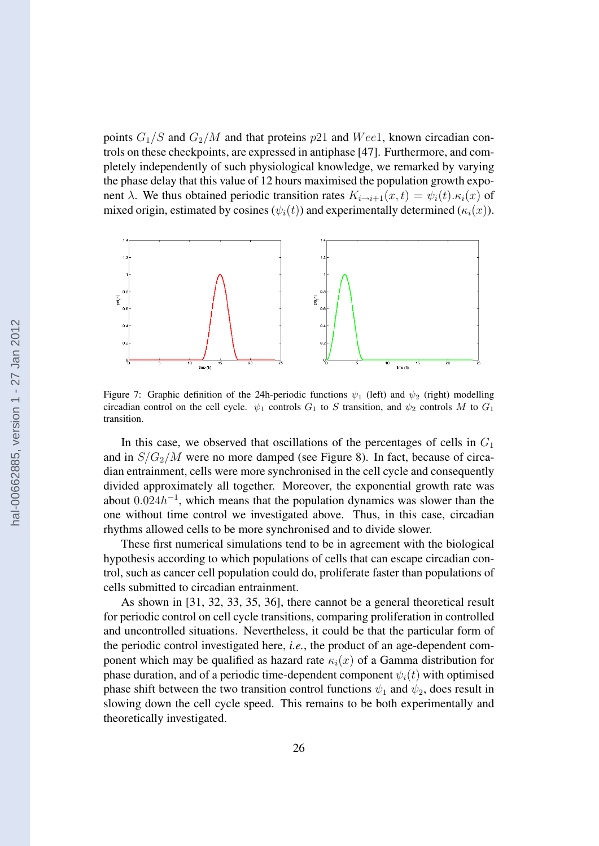<span id="page-25-0"></span>points  $G_1/S$  and  $G_2/M$  and that proteins p21 and  $Wee1$ , known circadian controls on these checkpoints, are expressed in antiphase [\[47\]](#page-41-0). Furthermore, and completely independently of such physiological knowledge, we remarked by varying the phase delay that this value of 12 hours maximised the population growth exponent  $\lambda$ . We thus obtained periodic transition rates  $K_{i\rightarrow i+1}(x,t) = \psi_i(t) \cdot \kappa_i(x)$  of mixed origin, estimated by cosines ( $\psi_i(t)$ ) and experimentally determined ( $\kappa_i(x)$ ).



Figure 7: Graphic definition of the 24h-periodic functions  $\psi_1$  (left) and  $\psi_2$  (right) modelling circadian control on the cell cycle.  $\psi_1$  controls  $G_1$  to S transition, and  $\psi_2$  controls M to  $G_1$ transition.

In this case, we observed that oscillations of the percentages of cells in  $G_1$ and in  $S/G_2/M$  were no more damped (see Figure [8\)](#page-26-0). In fact, because of circadian entrainment, cells were more synchronised in the cell cycle and consequently divided approximately all together. Moreover, the exponential growth rate was about  $0.024h^{-1}$ , which means that the population dynamics was slower than the one without time control we investigated above. Thus, in this case, circadian rhythms allowed cells to be more synchronised and to divide slower.

These first numerical simulations tend to be in agreement with the biological hypothesis according to which populations of cells that can escape circadian control, such as cancer cell population could do, proliferate faster than populations of cells submitted to circadian entrainment.

As shown in [\[31, 32, 33, 35, 36\]](#page-40-0), there cannot be a general theoretical result for periodic control on cell cycle transitions, comparing proliferation in controlled and uncontrolled situations. Nevertheless, it could be that the particular form of the periodic control investigated here, *i.e.*, the product of an age-dependent component which may be qualified as hazard rate  $\kappa_i(x)$  of a Gamma distribution for phase duration, and of a periodic time-dependent component  $\psi_i(t)$  with optimised phase shift between the two transition control functions  $\psi_1$  and  $\psi_2$ , does result in slowing down the cell cycle speed. This remains to be both experimentally and theoretically investigated.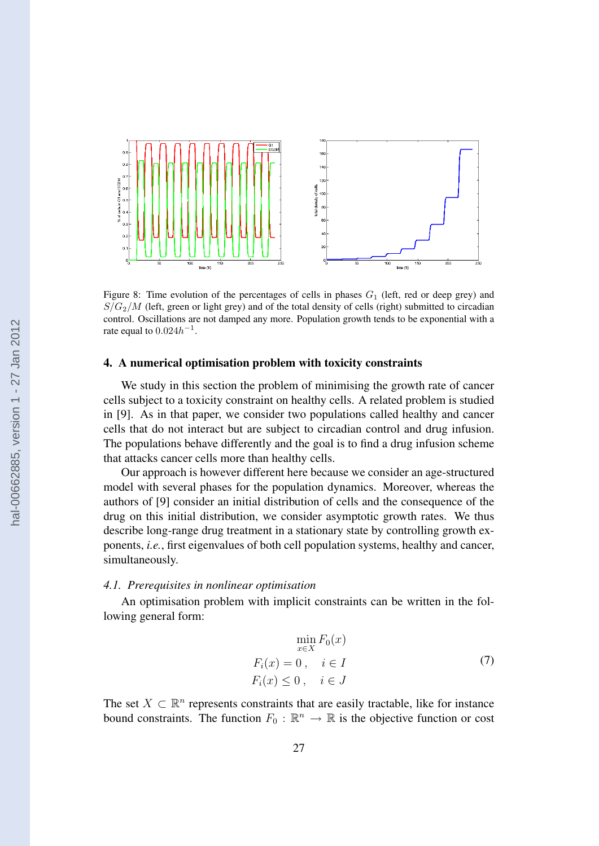<span id="page-26-0"></span>

Figure 8: Time evolution of the percentages of cells in phases  $G_1$  (left, red or deep grey) and  $S/G_2/M$  (left, green or light grey) and of the total density of cells (right) submitted to circadian control. Oscillations are not damped any more. Population growth tends to be exponential with a rate equal to  $0.024h^{-1}$ .

## 4. A numerical optimisation problem with toxicity constraints

We study in this section the problem of minimising the growth rate of cancer cells subject to a toxicity constraint on healthy cells. A related problem is studied in [\[9\]](#page-38-0). As in that paper, we consider two populations called healthy and cancer cells that do not interact but are subject to circadian control and drug infusion. The populations behave differently and the goal is to find a drug infusion scheme that attacks cancer cells more than healthy cells.

Our approach is however different here because we consider an age-structured model with several phases for the population dynamics. Moreover, whereas the authors of [\[9\]](#page-38-0) consider an initial distribution of cells and the consequence of the drug on this initial distribution, we consider asymptotic growth rates. We thus describe long-range drug treatment in a stationary state by controlling growth exponents, *i.e.*, first eigenvalues of both cell population systems, healthy and cancer, simultaneously.

#### *4.1. Prerequisites in nonlinear optimisation*

An optimisation problem with implicit constraints can be written in the following general form:

$$
\min_{x \in X} F_0(x)
$$
  
\n
$$
F_i(x) = 0, \quad i \in I
$$
  
\n
$$
F_i(x) \le 0, \quad i \in J
$$
\n(7)

The set  $X \subset \mathbb{R}^n$  represents constraints that are easily tractable, like for instance bound constraints. The function  $F_0 : \mathbb{R}^n \to \mathbb{R}$  is the objective function or cost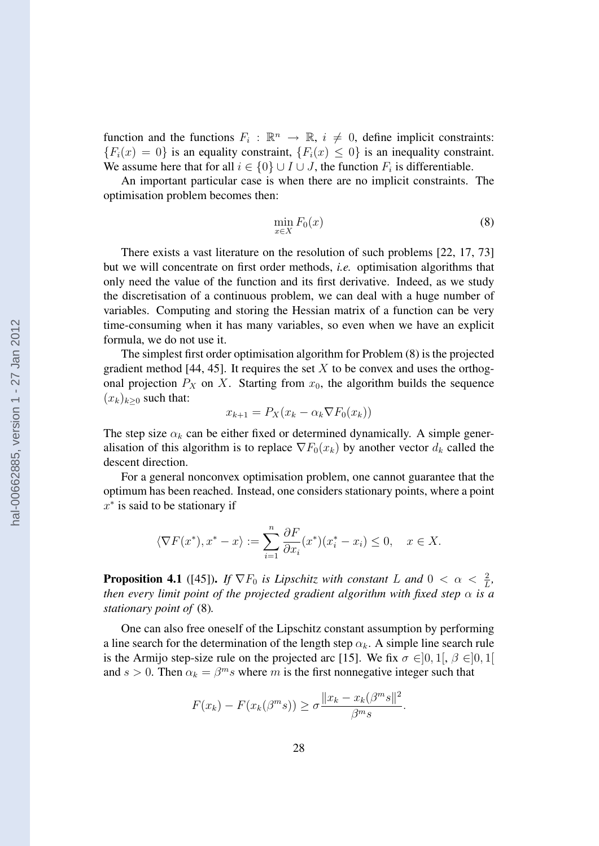<span id="page-27-0"></span>function and the functions  $F_i : \mathbb{R}^n \to \mathbb{R}$ ,  $i \neq 0$ , define implicit constraints:  ${F_i(x) = 0}$  is an equality constraint,  ${F_i(x) \leq 0}$  is an inequality constraint. We assume here that for all  $i \in \{0\} \cup I \cup J$ , the function  $F_i$  is differentiable.

An important particular case is when there are no implicit constraints. The optimisation problem becomes then:

$$
\min_{x \in X} F_0(x) \tag{8}
$$

There exists a vast literature on the resolution of such problems [\[22,](#page-39-0) [17,](#page-38-0) [73\]](#page-43-0) but we will concentrate on first order methods, *i.e.* optimisation algorithms that only need the value of the function and its first derivative. Indeed, as we study the discretisation of a continuous problem, we can deal with a huge number of variables. Computing and storing the Hessian matrix of a function can be very time-consuming when it has many variables, so even when we have an explicit formula, we do not use it.

The simplest first order optimisation algorithm for Problem (8) is the projected gradient method [\[44, 45\]](#page-41-0). It requires the set  $X$  to be convex and uses the orthogonal projection  $P_X$  on X. Starting from  $x_0$ , the algorithm builds the sequence  $(x_k)_{k>0}$  such that:

$$
x_{k+1} = P_X(x_k - \alpha_k \nabla F_0(x_k))
$$

The step size  $\alpha_k$  can be either fixed or determined dynamically. A simple generalisation of this algorithm is to replace  $\nabla F_0(x_k)$  by another vector  $d_k$  called the descent direction.

For a general nonconvex optimisation problem, one cannot guarantee that the optimum has been reached. Instead, one considers stationary points, where a point  $x^*$  is said to be stationary if

$$
\langle \nabla F(x^*), x^* - x \rangle := \sum_{i=1}^n \frac{\partial F}{\partial x_i}(x^*)(x_i^* - x_i) \le 0, \quad x \in X.
$$

**Proposition 4.1** ([\[45\]](#page-41-0)). *If*  $\nabla F_0$  *is Lipschitz with constant L and*  $0 < \alpha < \frac{2}{L}$ , *then every limit point of the projected gradient algorithm with fixed step*  $\alpha$  *is a stationary point of* (8)*.*

One can also free oneself of the Lipschitz constant assumption by performing a line search for the determination of the length step  $\alpha_k$ . A simple line search rule is the Armijo step-size rule on the projected arc [\[15\]](#page-38-0). We fix  $\sigma \in ]0,1[$ ,  $\beta \in ]0,1[$ and  $s > 0$ . Then  $\alpha_k = \beta^m s$  where m is the first nonnegative integer such that

$$
F(x_k) - F(x_k(\beta^m s)) \ge \sigma \frac{\|x_k - x_k(\beta^m s)\|^2}{\beta^m s}.
$$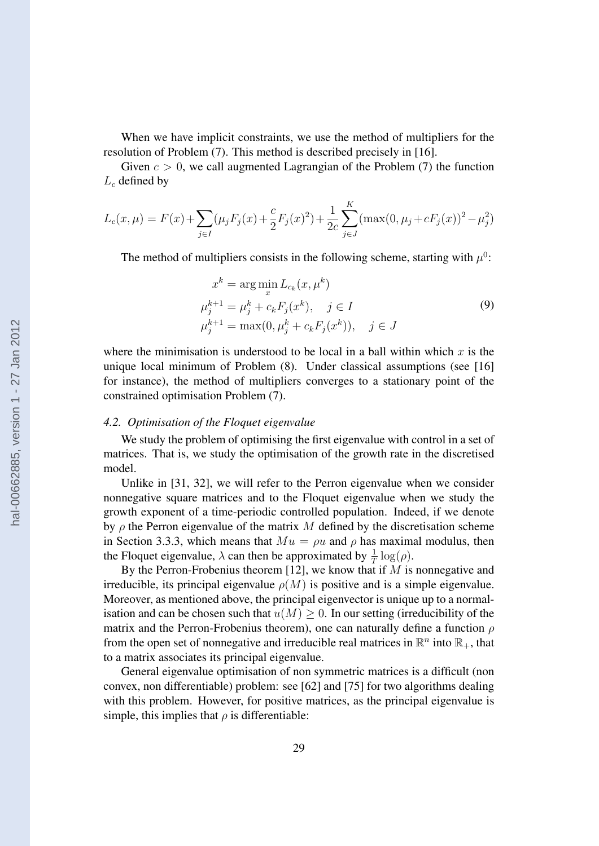<span id="page-28-0"></span>When we have implicit constraints, we use the method of multipliers for the resolution of Problem [\(7\)](#page-26-0). This method is described precisely in [\[16\]](#page-38-0).

Given  $c > 0$ , we call augmented Lagrangian of the Problem [\(7\)](#page-26-0) the function  $L_c$  defined by

$$
L_c(x,\mu) = F(x) + \sum_{j \in I} (\mu_j F_j(x) + \frac{c}{2} F_j(x)^2) + \frac{1}{2c} \sum_{j \in J}^K (\max(0, \mu_j + cF_j(x))^2 - \mu_j^2)
$$

The method of multipliers consists in the following scheme, starting with  $\mu^0$ :

$$
x^{k} = \arg\min_{x} L_{c_{k}}(x, \mu^{k})
$$
  
\n
$$
\mu_{j}^{k+1} = \mu_{j}^{k} + c_{k}F_{j}(x^{k}), \quad j \in I
$$
  
\n
$$
\mu_{j}^{k+1} = \max(0, \mu_{j}^{k} + c_{k}F_{j}(x^{k})), \quad j \in J
$$
\n(9)

where the minimisation is understood to be local in a ball within which x is the unique local minimum of Problem [\(8\)](#page-27-0). Under classical assumptions (see [\[16\]](#page-38-0) for instance), the method of multipliers converges to a stationary point of the constrained optimisation Problem [\(7\)](#page-26-0).

## *4.2. Optimisation of the Floquet eigenvalue*

We study the problem of optimising the first eigenvalue with control in a set of matrices. That is, we study the optimisation of the growth rate in the discretised model.

Unlike in [\[31, 32\]](#page-40-0), we will refer to the Perron eigenvalue when we consider nonnegative square matrices and to the Floquet eigenvalue when we study the growth exponent of a time-periodic controlled population. Indeed, if we denote by  $\rho$  the Perron eigenvalue of the matrix M defined by the discretisation scheme in Section [3.3.3,](#page-21-0) which means that  $Mu = \rho u$  and  $\rho$  has maximal modulus, then the Floquet eigenvalue,  $\lambda$  can then be approximated by  $\frac{1}{T} \log(\rho)$ .

By the Perron-Frobenius theorem [\[12\]](#page-38-0), we know that if  $M$  is nonnegative and irreducible, its principal eigenvalue  $\rho(M)$  is positive and is a simple eigenvalue. Moreover, as mentioned above, the principal eigenvector is unique up to a normalisation and can be chosen such that  $u(M) \geq 0$ . In our setting (irreducibility of the matrix and the Perron-Frobenius theorem), one can naturally define a function  $\rho$ from the open set of nonnegative and irreducible real matrices in  $\mathbb{R}^n$  into  $\mathbb{R}_+$ , that to a matrix associates its principal eigenvalue.

General eigenvalue optimisation of non symmetric matrices is a difficult (non convex, non differentiable) problem: see [\[62\]](#page-42-0) and [\[75\]](#page-43-0) for two algorithms dealing with this problem. However, for positive matrices, as the principal eigenvalue is simple, this implies that  $\rho$  is differentiable: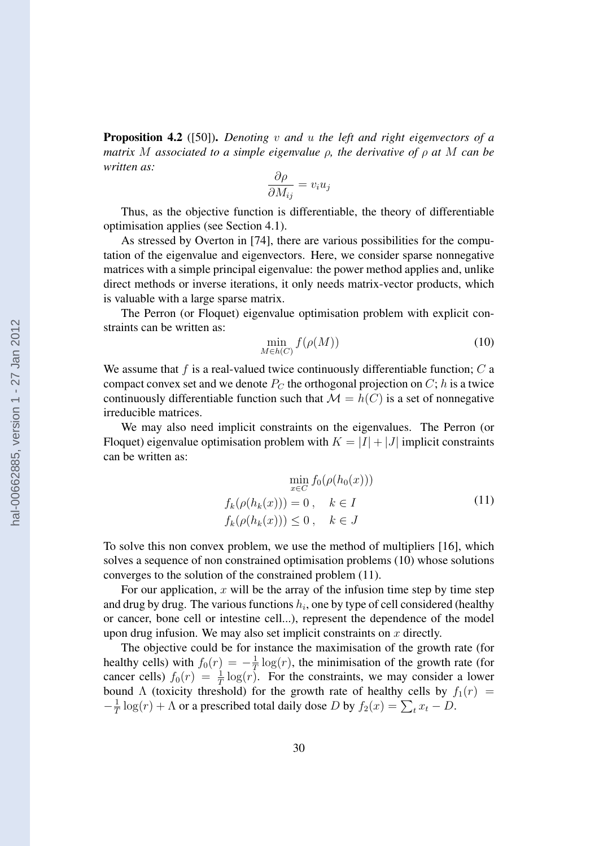Proposition 4.2 ([\[50\]](#page-41-0)). *Denoting* v *and* u *the left and right eigenvectors of a matrix* M *associated to a simple eigenvalue* ρ*, the derivative of* ρ *at* M *can be written as:*

$$
\frac{\partial \rho}{\partial M_{ij}} = v_i u_j
$$

Thus, as the objective function is differentiable, the theory of differentiable optimisation applies (see Section [4.1\)](#page-26-0).

As stressed by Overton in [\[74\]](#page-43-0), there are various possibilities for the computation of the eigenvalue and eigenvectors. Here, we consider sparse nonnegative matrices with a simple principal eigenvalue: the power method applies and, unlike direct methods or inverse iterations, it only needs matrix-vector products, which is valuable with a large sparse matrix.

The Perron (or Floquet) eigenvalue optimisation problem with explicit constraints can be written as:

$$
\min_{M \in h(C)} f(\rho(M)) \tag{10}
$$

We assume that f is a real-valued twice continuously differentiable function;  $C$  a compact convex set and we denote  $P_C$  the orthogonal projection on  $C$ ; h is a twice continuously differentiable function such that  $\mathcal{M} = h(C)$  is a set of nonnegative irreducible matrices.

We may also need implicit constraints on the eigenvalues. The Perron (or Floquet) eigenvalue optimisation problem with  $K = |I| + |J|$  implicit constraints can be written as:

$$
\min_{x \in C} f_0(\rho(h_0(x)))
$$
  

$$
f_k(\rho(h_k(x))) = 0, \quad k \in I
$$
  

$$
f_k(\rho(h_k(x))) \le 0, \quad k \in J
$$
 (11)

To solve this non convex problem, we use the method of multipliers [\[16\]](#page-38-0), which solves a sequence of non constrained optimisation problems (10) whose solutions converges to the solution of the constrained problem (11).

For our application,  $x$  will be the array of the infusion time step by time step and drug by drug. The various functions  $h_i$ , one by type of cell considered (healthy or cancer, bone cell or intestine cell...), represent the dependence of the model upon drug infusion. We may also set implicit constraints on  $x$  directly.

The objective could be for instance the maximisation of the growth rate (for healthy cells) with  $f_0(r) = -\frac{1}{7}$  $\frac{1}{T}$ log(*r*), the minimisation of the growth rate (for cancer cells)  $f_0(r) = \frac{1}{T} \log(r)$ . For the constraints, we may consider a lower bound  $\Lambda$  (toxicity threshold) for the growth rate of healthy cells by  $f_1(r)$  =  $-\frac{1}{7}$  $\frac{1}{T} \log(r) + \Lambda$  or a prescribed total daily dose D by  $f_2(x) = \sum_t x_t - D$ .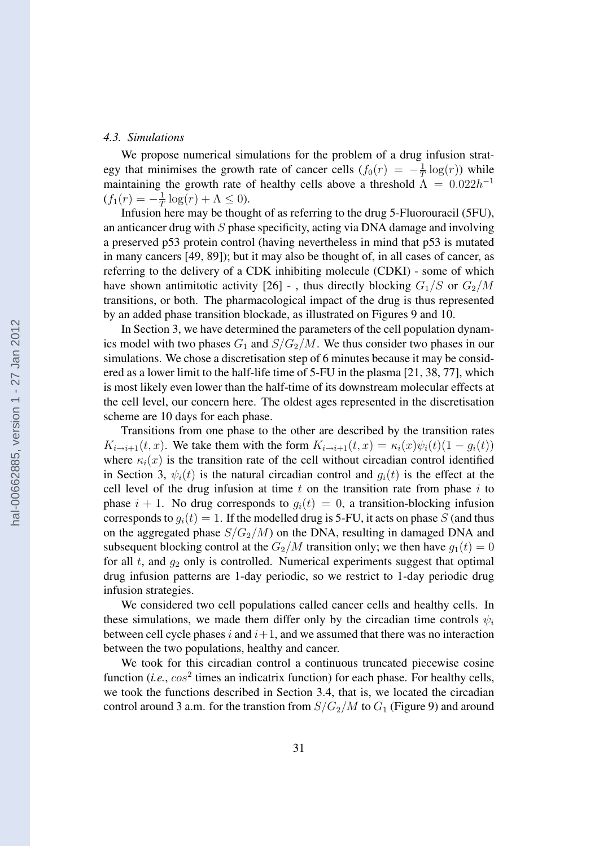## <span id="page-30-0"></span>*4.3. Simulations*

We propose numerical simulations for the problem of a drug infusion strategy that minimises the growth rate of cancer cells  $(f_0(r) = -\frac{1}{7})$  $\frac{1}{T} \log(r)$ ) while maintaining the growth rate of healthy cells above a threshold  $\hat{\Lambda} = 0.022h^{-1}$  $(f_1(r) = -\frac{1}{7})$  $\frac{1}{T} \log(r) + \Lambda \leq 0$ ).

Infusion here may be thought of as referring to the drug 5-Fluorouracil (5FU), an anticancer drug with  $S$  phase specificity, acting via DNA damage and involving a preserved p53 protein control (having nevertheless in mind that p53 is mutated in many cancers [\[49,](#page-41-0) [89\]](#page-45-0)); but it may also be thought of, in all cases of cancer, as referring to the delivery of a CDK inhibiting molecule (CDKI) - some of which have shown antimitotic activity [\[26\]](#page-39-0) - , thus directly blocking  $G_1/S$  or  $G_2/M$ transitions, or both. The pharmacological impact of the drug is thus represented by an added phase transition blockade, as illustrated on Figures [9](#page-31-0) and [10.](#page-31-0)

In Section [3,](#page-15-0) we have determined the parameters of the cell population dynamics model with two phases  $G_1$  and  $S/G_2/M$ . We thus consider two phases in our simulations. We chose a discretisation step of 6 minutes because it may be considered as a lower limit to the half-life time of 5-FU in the plasma [\[21,](#page-39-0) [38,](#page-40-0) [77\]](#page-44-0), which is most likely even lower than the half-time of its downstream molecular effects at the cell level, our concern here. The oldest ages represented in the discretisation scheme are 10 days for each phase.

Transitions from one phase to the other are described by the transition rates  $K_{i\rightarrow i+1}(t, x)$ . We take them with the form  $K_{i\rightarrow i+1}(t, x) = \kappa_i(x)\psi_i(t)(1 - g_i(t))$ where  $\kappa_i(x)$  is the transition rate of the cell without circadian control identified in Section [3,](#page-15-0)  $\psi_i(t)$  is the natural circadian control and  $q_i(t)$  is the effect at the cell level of the drug infusion at time t on the transition rate from phase  $i$  to phase  $i + 1$ . No drug corresponds to  $q_i(t) = 0$ , a transition-blocking infusion corresponds to  $g_i(t) = 1$ . If the modelled drug is 5-FU, it acts on phase S (and thus on the aggregated phase  $S/G_2/M$ ) on the DNA, resulting in damaged DNA and subsequent blocking control at the  $G_2/M$  transition only; we then have  $g_1(t) = 0$ for all  $t$ , and  $g_2$  only is controlled. Numerical experiments suggest that optimal drug infusion patterns are 1-day periodic, so we restrict to 1-day periodic drug infusion strategies.

We considered two cell populations called cancer cells and healthy cells. In these simulations, we made them differ only by the circadian time controls  $\psi_i$ between cell cycle phases i and  $i+1$ , and we assumed that there was no interaction between the two populations, healthy and cancer.

We took for this circadian control a continuous truncated piecewise cosine function  $(i.e., cos<sup>2</sup> times an indicator is a function of  $i.e.$  and  $j.e.$  is a function of  $i.e.$ , where  $i.e.$  and  $j.e.$  is a function of  $i.e.$ , and  $j.e.$  is a function of  $i.e.$ , and  $j.e.$  is a function of  $i.e.$ , and  $j.e.$  is a function of  $i.e.$ , and  $j.e.$  is a function of  $i.e.$ , and  $j.e.$  is a function of  $i.e.$ , and  $j.e.$  is a function of  $i.e.$ , and  $j.e.$  is a function of  $i.e.$ , and  $j.e.$$ we took the functions described in Section [3.4,](#page-22-0) that is, we located the circadian control around 3 a.m. for the transtion from  $S/G_2/M$  to  $G_1$  (Figure [9\)](#page-31-0) and around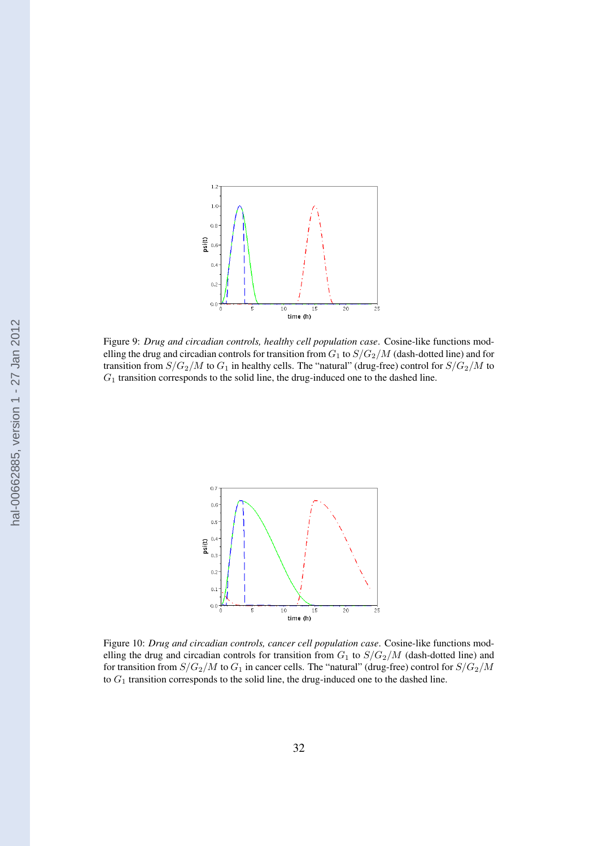<span id="page-31-0"></span>

Figure 9: *Drug and circadian controls, healthy cell population case*. Cosine-like functions modelling the drug and circadian controls for transition from  $G_1$  to  $S/G_2/M$  (dash-dotted line) and for transition from  $S/G_2/M$  to  $G_1$  in healthy cells. The "natural" (drug-free) control for  $S/G_2/M$  to  $G_1$  transition corresponds to the solid line, the drug-induced one to the dashed line.



Figure 10: *Drug and circadian controls, cancer cell population case*. Cosine-like functions modelling the drug and circadian controls for transition from  $G_1$  to  $S/G_2/M$  (dash-dotted line) and for transition from  $S/G_2/M$  to  $G_1$  in cancer cells. The "natural" (drug-free) control for  $S/G_2/M$ to  $G_1$  transition corresponds to the solid line, the drug-induced one to the dashed line.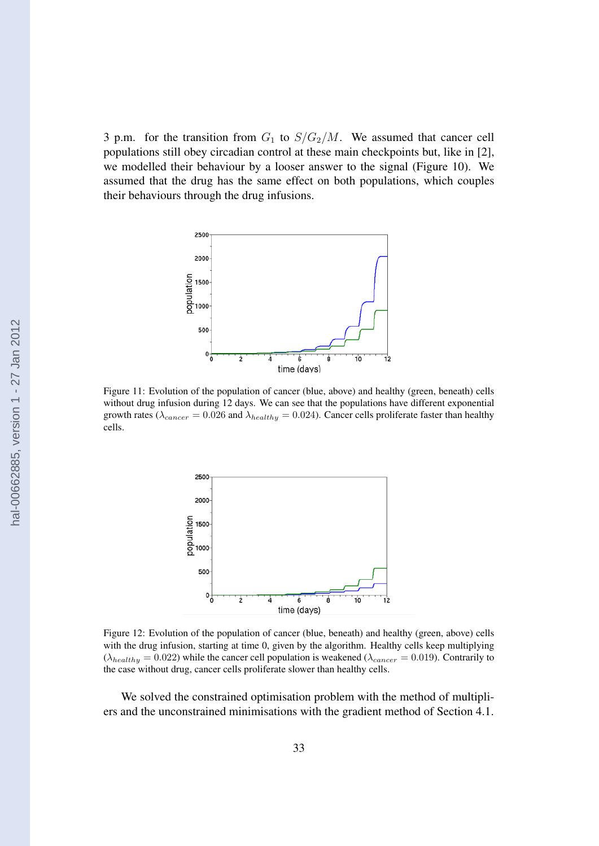<span id="page-32-0"></span>3 p.m. for the transition from  $G_1$  to  $S/G_2/M$ . We assumed that cancer cell populations still obey circadian control at these main checkpoints but, like in [\[2\]](#page-37-0), we modelled their behaviour by a looser answer to the signal (Figure [10\)](#page-31-0). We assumed that the drug has the same effect on both populations, which couples their behaviours through the drug infusions.



Figure 11: Evolution of the population of cancer (blue, above) and healthy (green, beneath) cells without drug infusion during 12 days. We can see that the populations have different exponential growth rates ( $\lambda_{cancer} = 0.026$  and  $\lambda_{healthy} = 0.024$ ). Cancer cells proliferate faster than healthy cells.



Figure 12: Evolution of the population of cancer (blue, beneath) and healthy (green, above) cells with the drug infusion, starting at time 0, given by the algorithm. Healthy cells keep multiplying  $(\lambda_{health} = 0.022)$  while the cancer cell population is weakened ( $\lambda_{cancel} = 0.019$ ). Contrarily to the case without drug, cancer cells proliferate slower than healthy cells.

We solved the constrained optimisation problem with the method of multipliers and the unconstrained minimisations with the gradient method of Section [4.1.](#page-26-0)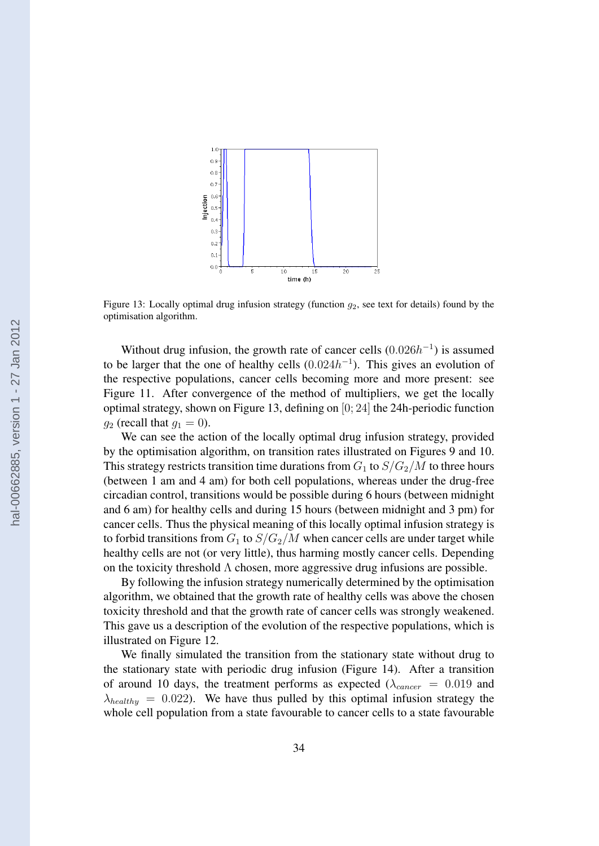

Figure 13: Locally optimal drug infusion strategy (function  $q_2$ , see text for details) found by the optimisation algorithm.

Without drug infusion, the growth rate of cancer cells  $(0.026h^{-1})$  is assumed to be larger that the one of healthy cells  $(0.024h^{-1})$ . This gives an evolution of the respective populations, cancer cells becoming more and more present: see Figure [11.](#page-32-0) After convergence of the method of multipliers, we get the locally optimal strategy, shown on Figure 13, defining on [0; 24] the 24h-periodic function  $g_2$  (recall that  $g_1 = 0$ ).

We can see the action of the locally optimal drug infusion strategy, provided by the optimisation algorithm, on transition rates illustrated on Figures [9](#page-31-0) and [10.](#page-31-0) This strategy restricts transition time durations from  $G_1$  to  $S/G_2/M$  to three hours (between 1 am and 4 am) for both cell populations, whereas under the drug-free circadian control, transitions would be possible during 6 hours (between midnight and 6 am) for healthy cells and during 15 hours (between midnight and 3 pm) for cancer cells. Thus the physical meaning of this locally optimal infusion strategy is to forbid transitions from  $G_1$  to  $S/G_2/M$  when cancer cells are under target while healthy cells are not (or very little), thus harming mostly cancer cells. Depending on the toxicity threshold  $\Lambda$  chosen, more aggressive drug infusions are possible.

By following the infusion strategy numerically determined by the optimisation algorithm, we obtained that the growth rate of healthy cells was above the chosen toxicity threshold and that the growth rate of cancer cells was strongly weakened. This gave us a description of the evolution of the respective populations, which is illustrated on Figure [12.](#page-32-0)

We finally simulated the transition from the stationary state without drug to the stationary state with periodic drug infusion (Figure [14\)](#page-34-0). After a transition of around 10 days, the treatment performs as expected ( $\lambda_{cancer} = 0.019$  and  $\lambda_{\text{healthy}} = 0.022$ ). We have thus pulled by this optimal infusion strategy the whole cell population from a state favourable to cancer cells to a state favourable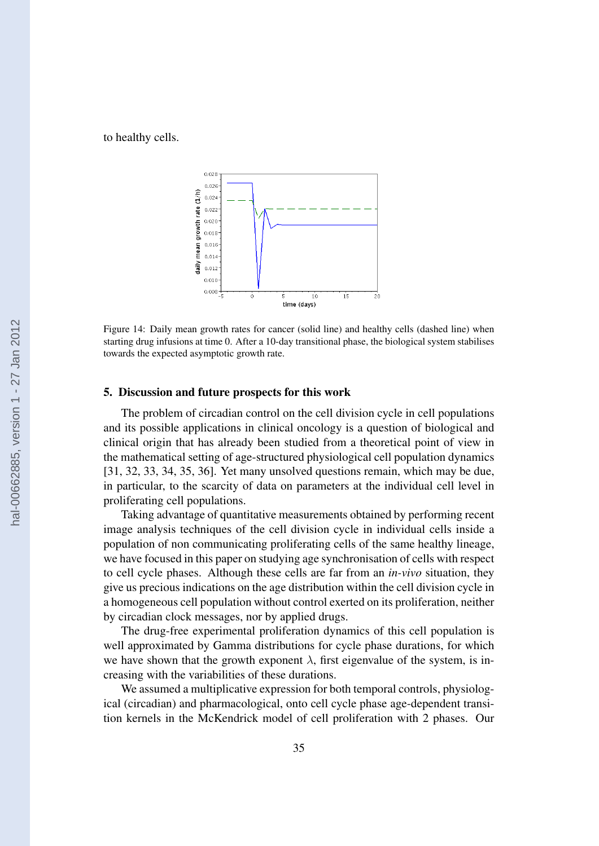<span id="page-34-0"></span>to healthy cells.



Figure 14: Daily mean growth rates for cancer (solid line) and healthy cells (dashed line) when starting drug infusions at time 0. After a 10-day transitional phase, the biological system stabilises towards the expected asymptotic growth rate.

## 5. Discussion and future prospects for this work

The problem of circadian control on the cell division cycle in cell populations and its possible applications in clinical oncology is a question of biological and clinical origin that has already been studied from a theoretical point of view in the mathematical setting of age-structured physiological cell population dynamics [\[31, 32, 33, 34, 35, 36\]](#page-40-0). Yet many unsolved questions remain, which may be due, in particular, to the scarcity of data on parameters at the individual cell level in proliferating cell populations.

Taking advantage of quantitative measurements obtained by performing recent image analysis techniques of the cell division cycle in individual cells inside a population of non communicating proliferating cells of the same healthy lineage, we have focused in this paper on studying age synchronisation of cells with respect to cell cycle phases. Although these cells are far from an *in-vivo* situation, they give us precious indications on the age distribution within the cell division cycle in a homogeneous cell population without control exerted on its proliferation, neither by circadian clock messages, nor by applied drugs.

The drug-free experimental proliferation dynamics of this cell population is well approximated by Gamma distributions for cycle phase durations, for which we have shown that the growth exponent  $\lambda$ , first eigenvalue of the system, is increasing with the variabilities of these durations.

We assumed a multiplicative expression for both temporal controls, physiological (circadian) and pharmacological, onto cell cycle phase age-dependent transition kernels in the McKendrick model of cell proliferation with 2 phases. Our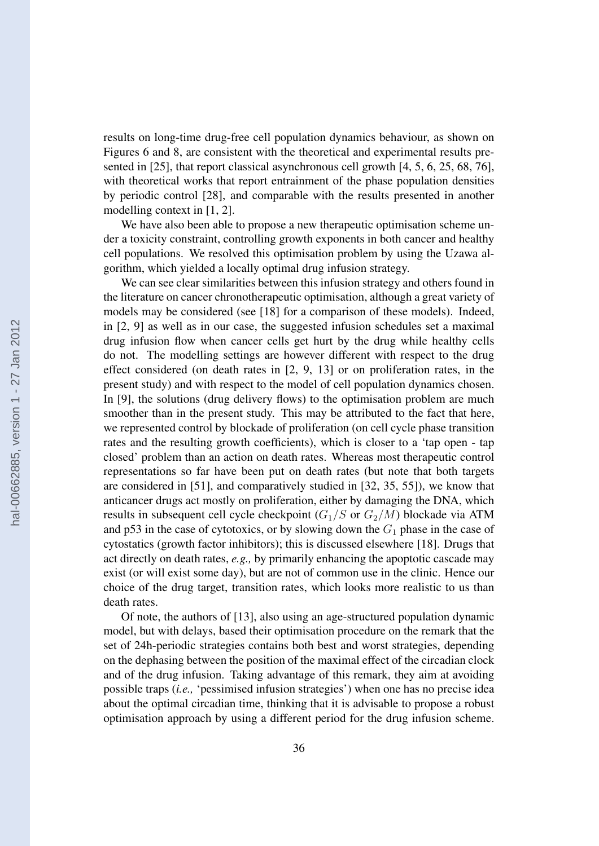results on long-time drug-free cell population dynamics behaviour, as shown on Figures [6](#page-24-0) and [8,](#page-26-0) are consistent with the theoretical and experimental results presented in [\[25\]](#page-39-0), that report classical asynchronous cell growth [\[4, 5,](#page-37-0) [6,](#page-38-0) [25,](#page-39-0) [68,](#page-43-0) [76\]](#page-44-0), with theoretical works that report entrainment of the phase population densities by periodic control [\[28\]](#page-39-0), and comparable with the results presented in another modelling context in [\[1, 2\]](#page-37-0).

We have also been able to propose a new therapeutic optimisation scheme under a toxicity constraint, controlling growth exponents in both cancer and healthy cell populations. We resolved this optimisation problem by using the Uzawa algorithm, which yielded a locally optimal drug infusion strategy.

We can see clear similarities between this infusion strategy and others found in the literature on cancer chronotherapeutic optimisation, although a great variety of models may be considered (see [\[18\]](#page-39-0) for a comparison of these models). Indeed, in [\[2,](#page-37-0) [9\]](#page-38-0) as well as in our case, the suggested infusion schedules set a maximal drug infusion flow when cancer cells get hurt by the drug while healthy cells do not. The modelling settings are however different with respect to the drug effect considered (on death rates in [\[2,](#page-37-0) [9, 13\]](#page-38-0) or on proliferation rates, in the present study) and with respect to the model of cell population dynamics chosen. In [\[9\]](#page-38-0), the solutions (drug delivery flows) to the optimisation problem are much smoother than in the present study. This may be attributed to the fact that here, we represented control by blockade of proliferation (on cell cycle phase transition rates and the resulting growth coefficients), which is closer to a 'tap open - tap closed' problem than an action on death rates. Whereas most therapeutic control representations so far have been put on death rates (but note that both targets are considered in [\[51\]](#page-41-0), and comparatively studied in [\[32, 35,](#page-40-0) [55\]](#page-42-0)), we know that anticancer drugs act mostly on proliferation, either by damaging the DNA, which results in subsequent cell cycle checkpoint  $(G_1/S \text{ or } G_2/M)$  blockade via ATM and p53 in the case of cytotoxics, or by slowing down the  $G_1$  phase in the case of cytostatics (growth factor inhibitors); this is discussed elsewhere [\[18\]](#page-39-0). Drugs that act directly on death rates, *e.g.,* by primarily enhancing the apoptotic cascade may exist (or will exist some day), but are not of common use in the clinic. Hence our choice of the drug target, transition rates, which looks more realistic to us than death rates.

Of note, the authors of [\[13\]](#page-38-0), also using an age-structured population dynamic model, but with delays, based their optimisation procedure on the remark that the set of 24h-periodic strategies contains both best and worst strategies, depending on the dephasing between the position of the maximal effect of the circadian clock and of the drug infusion. Taking advantage of this remark, they aim at avoiding possible traps (*i.e.,* 'pessimised infusion strategies') when one has no precise idea about the optimal circadian time, thinking that it is advisable to propose a robust optimisation approach by using a different period for the drug infusion scheme.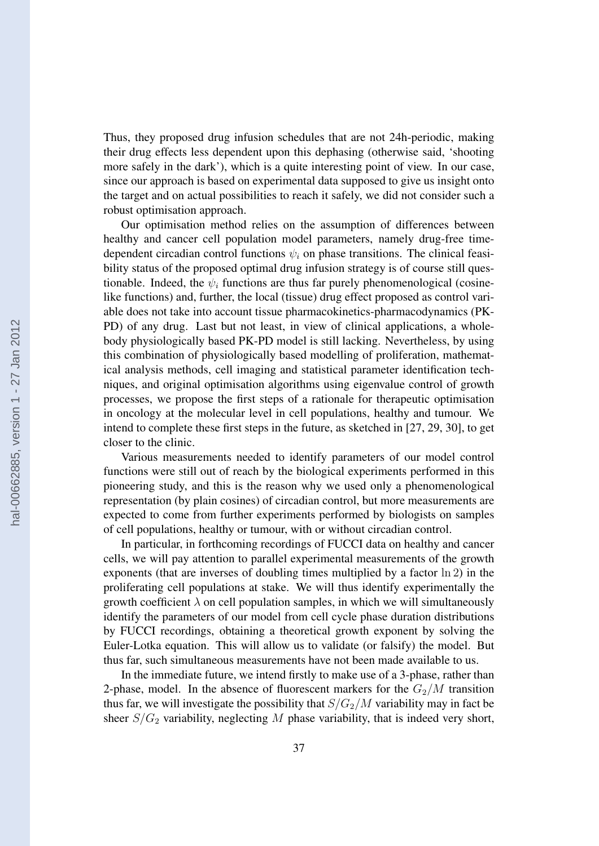Thus, they proposed drug infusion schedules that are not 24h-periodic, making their drug effects less dependent upon this dephasing (otherwise said, 'shooting more safely in the dark'), which is a quite interesting point of view. In our case, since our approach is based on experimental data supposed to give us insight onto the target and on actual possibilities to reach it safely, we did not consider such a robust optimisation approach.

Our optimisation method relies on the assumption of differences between healthy and cancer cell population model parameters, namely drug-free timedependent circadian control functions  $\psi_i$  on phase transitions. The clinical feasibility status of the proposed optimal drug infusion strategy is of course still questionable. Indeed, the  $\psi_i$  functions are thus far purely phenomenological (cosinelike functions) and, further, the local (tissue) drug effect proposed as control variable does not take into account tissue pharmacokinetics-pharmacodynamics (PK-PD) of any drug. Last but not least, in view of clinical applications, a wholebody physiologically based PK-PD model is still lacking. Nevertheless, by using this combination of physiologically based modelling of proliferation, mathematical analysis methods, cell imaging and statistical parameter identification techniques, and original optimisation algorithms using eigenvalue control of growth processes, we propose the first steps of a rationale for therapeutic optimisation in oncology at the molecular level in cell populations, healthy and tumour. We intend to complete these first steps in the future, as sketched in [\[27,](#page-39-0) [29, 30\]](#page-40-0), to get closer to the clinic.

Various measurements needed to identify parameters of our model control functions were still out of reach by the biological experiments performed in this pioneering study, and this is the reason why we used only a phenomenological representation (by plain cosines) of circadian control, but more measurements are expected to come from further experiments performed by biologists on samples of cell populations, healthy or tumour, with or without circadian control.

In particular, in forthcoming recordings of FUCCI data on healthy and cancer cells, we will pay attention to parallel experimental measurements of the growth exponents (that are inverses of doubling times multiplied by a factor ln 2) in the proliferating cell populations at stake. We will thus identify experimentally the growth coefficient  $\lambda$  on cell population samples, in which we will simultaneously identify the parameters of our model from cell cycle phase duration distributions by FUCCI recordings, obtaining a theoretical growth exponent by solving the Euler-Lotka equation. This will allow us to validate (or falsify) the model. But thus far, such simultaneous measurements have not been made available to us.

In the immediate future, we intend firstly to make use of a 3-phase, rather than 2-phase, model. In the absence of fluorescent markers for the  $G_2/M$  transition thus far, we will investigate the possibility that  $S/G_2/M$  variability may in fact be sheer  $S/G_2$  variability, neglecting M phase variability, that is indeed very short,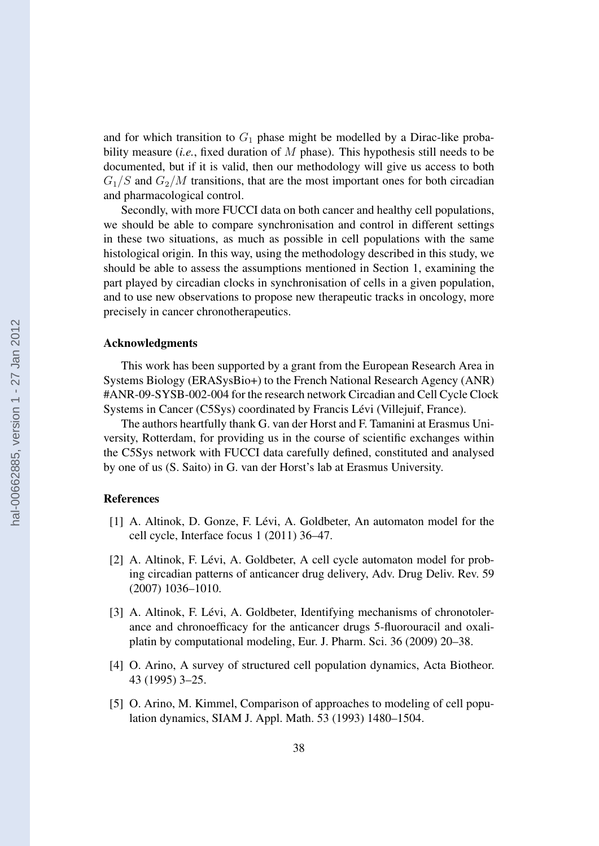<span id="page-37-0"></span>and for which transition to  $G_1$  phase might be modelled by a Dirac-like probability measure (*i.e.*, fixed duration of M phase). This hypothesis still needs to be documented, but if it is valid, then our methodology will give us access to both  $G_1/S$  and  $G_2/M$  transitions, that are the most important ones for both circadian and pharmacological control.

Secondly, with more FUCCI data on both cancer and healthy cell populations, we should be able to compare synchronisation and control in different settings in these two situations, as much as possible in cell populations with the same histological origin. In this way, using the methodology described in this study, we should be able to assess the assumptions mentioned in Section [1,](#page-2-0) examining the part played by circadian clocks in synchronisation of cells in a given population, and to use new observations to propose new therapeutic tracks in oncology, more precisely in cancer chronotherapeutics.

#### Acknowledgments

This work has been supported by a grant from the European Research Area in Systems Biology (ERASysBio+) to the French National Research Agency (ANR) #ANR-09-SYSB-002-004 for the research network Circadian and Cell Cycle Clock Systems in Cancer (C5Sys) coordinated by Francis Lévi (Villejuif, France).

The authors heartfully thank G. van der Horst and F. Tamanini at Erasmus University, Rotterdam, for providing us in the course of scientific exchanges within the C5Sys network with FUCCI data carefully defined, constituted and analysed by one of us (S. Saito) in G. van der Horst's lab at Erasmus University.

## References

- [1] A. Altinok, D. Gonze, F. Lévi, A. Goldbeter, An automaton model for the cell cycle, Interface focus 1 (2011) 36–47.
- [2] A. Altinok, F. Lévi, A. Goldbeter, A cell cycle automaton model for probing circadian patterns of anticancer drug delivery, Adv. Drug Deliv. Rev. 59 (2007) 1036–1010.
- [3] A. Altinok, F. Lévi, A. Goldbeter, Identifying mechanisms of chronotolerance and chronoefficacy for the anticancer drugs 5-fluorouracil and oxaliplatin by computational modeling, Eur. J. Pharm. Sci. 36 (2009) 20–38.
- [4] O. Arino, A survey of structured cell population dynamics, Acta Biotheor. 43 (1995) 3–25.
- [5] O. Arino, M. Kimmel, Comparison of approaches to modeling of cell population dynamics, SIAM J. Appl. Math. 53 (1993) 1480–1504.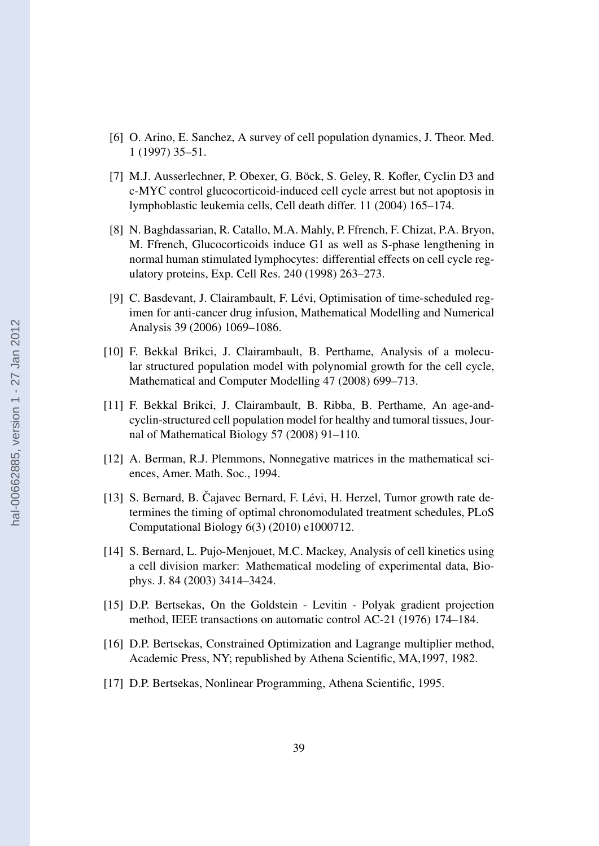- <span id="page-38-0"></span>[6] O. Arino, E. Sanchez, A survey of cell population dynamics, J. Theor. Med. 1 (1997) 35–51.
- [7] M.J. Ausserlechner, P. Obexer, G. Böck, S. Geley, R. Kofler, Cyclin D3 and c-MYC control glucocorticoid-induced cell cycle arrest but not apoptosis in lymphoblastic leukemia cells, Cell death differ. 11 (2004) 165–174.
- [8] N. Baghdassarian, R. Catallo, M.A. Mahly, P. Ffrench, F. Chizat, P.A. Bryon, M. Ffrench, Glucocorticoids induce G1 as well as S-phase lengthening in normal human stimulated lymphocytes: differential effects on cell cycle regulatory proteins, Exp. Cell Res. 240 (1998) 263–273.
- [9] C. Basdevant, J. Clairambault, F. Lévi, Optimisation of time-scheduled regimen for anti-cancer drug infusion, Mathematical Modelling and Numerical Analysis 39 (2006) 1069–1086.
- [10] F. Bekkal Brikci, J. Clairambault, B. Perthame, Analysis of a molecular structured population model with polynomial growth for the cell cycle, Mathematical and Computer Modelling 47 (2008) 699–713.
- [11] F. Bekkal Brikci, J. Clairambault, B. Ribba, B. Perthame, An age-andcyclin-structured cell population model for healthy and tumoral tissues, Journal of Mathematical Biology 57 (2008) 91–110.
- [12] A. Berman, R.J. Plemmons, Nonnegative matrices in the mathematical sci-ences, Amer. Math. Soc., 1994.
- [13] S. Bernard, B. Čajavec Bernard, F. Lévi, H. Herzel, Tumor growth rate determines the timing of optimal chronomodulated treatment schedules, PLoS Computational Biology 6(3) (2010) e1000712.
- [14] S. Bernard, L. Pujo-Menjouet, M.C. Mackey, Analysis of cell kinetics using a cell division marker: Mathematical modeling of experimental data, Biophys. J. 84 (2003) 3414–3424.
- [15] D.P. Bertsekas, On the Goldstein Levitin Polyak gradient projection method, IEEE transactions on automatic control AC-21 (1976) 174–184.
- [16] D.P. Bertsekas, Constrained Optimization and Lagrange multiplier method, Academic Press, NY; republished by Athena Scientific, MA,1997, 1982.
- [17] D.P. Bertsekas, Nonlinear Programming, Athena Scientific, 1995.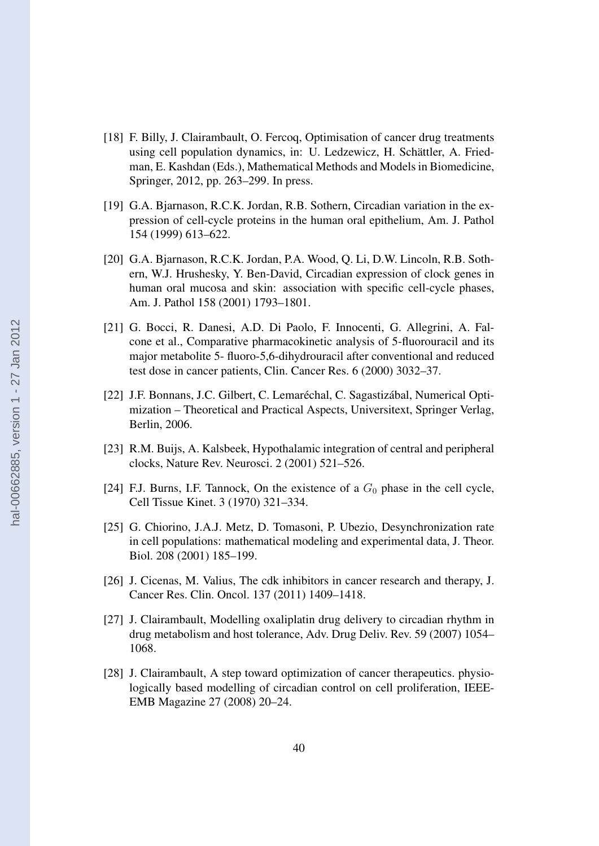- <span id="page-39-0"></span>[18] F. Billy, J. Clairambault, O. Fercoq, Optimisation of cancer drug treatments using cell population dynamics, in: U. Ledzewicz, H. Schättler, A. Friedman, E. Kashdan (Eds.), Mathematical Methods and Models in Biomedicine, Springer, 2012, pp. 263–299. In press.
- [19] G.A. Bjarnason, R.C.K. Jordan, R.B. Sothern, Circadian variation in the expression of cell-cycle proteins in the human oral epithelium, Am. J. Pathol 154 (1999) 613–622.
- [20] G.A. Bjarnason, R.C.K. Jordan, P.A. Wood, Q. Li, D.W. Lincoln, R.B. Sothern, W.J. Hrushesky, Y. Ben-David, Circadian expression of clock genes in human oral mucosa and skin: association with specific cell-cycle phases, Am. J. Pathol 158 (2001) 1793–1801.
- [21] G. Bocci, R. Danesi, A.D. Di Paolo, F. Innocenti, G. Allegrini, A. Falcone et al., Comparative pharmacokinetic analysis of 5-fluorouracil and its major metabolite 5- fluoro-5,6-dihydrouracil after conventional and reduced test dose in cancer patients, Clin. Cancer Res. 6 (2000) 3032–37.
- [22] J.F. Bonnans, J.C. Gilbert, C. Lemaréchal, C. Sagastizábal, Numerical Optimization – Theoretical and Practical Aspects, Universitext, Springer Verlag, Berlin, 2006.
- [23] R.M. Buijs, A. Kalsbeek, Hypothalamic integration of central and peripheral clocks, Nature Rev. Neurosci. 2 (2001) 521–526.
- [24] F.J. Burns, I.F. Tannock, On the existence of a  $G_0$  phase in the cell cycle, Cell Tissue Kinet. 3 (1970) 321–334.
- [25] G. Chiorino, J.A.J. Metz, D. Tomasoni, P. Ubezio, Desynchronization rate in cell populations: mathematical modeling and experimental data, J. Theor. Biol. 208 (2001) 185–199.
- [26] J. Cicenas, M. Valius, The cdk inhibitors in cancer research and therapy, J. Cancer Res. Clin. Oncol. 137 (2011) 1409–1418.
- [27] J. Clairambault, Modelling oxaliplatin drug delivery to circadian rhythm in drug metabolism and host tolerance, Adv. Drug Deliv. Rev. 59 (2007) 1054– 1068.
- [28] J. Clairambault, A step toward optimization of cancer therapeutics. physiologically based modelling of circadian control on cell proliferation, IEEE-EMB Magazine 27 (2008) 20–24.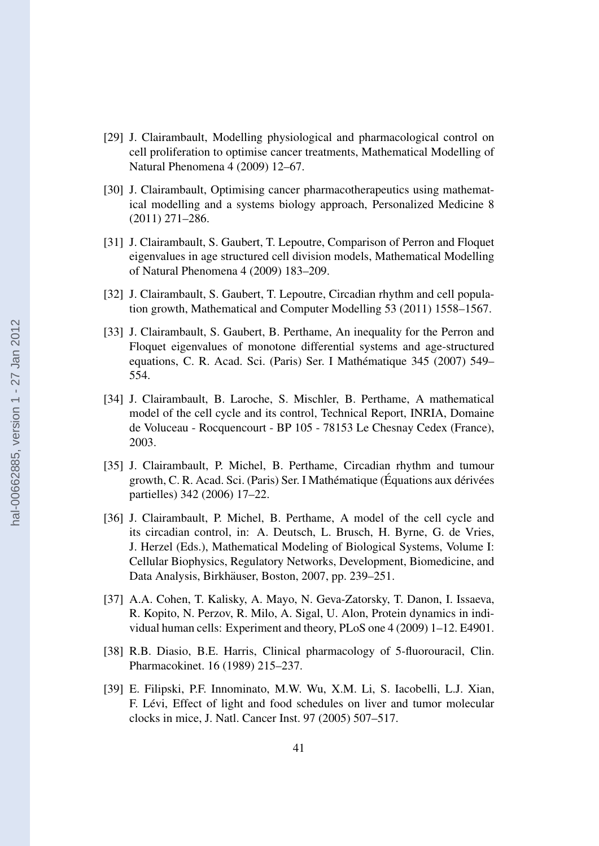- <span id="page-40-0"></span>[29] J. Clairambault, Modelling physiological and pharmacological control on cell proliferation to optimise cancer treatments, Mathematical Modelling of Natural Phenomena 4 (2009) 12–67.
- [30] J. Clairambault, Optimising cancer pharmacotherapeutics using mathematical modelling and a systems biology approach, Personalized Medicine 8 (2011) 271–286.
- [31] J. Clairambault, S. Gaubert, T. Lepoutre, Comparison of Perron and Floquet eigenvalues in age structured cell division models, Mathematical Modelling of Natural Phenomena 4 (2009) 183–209.
- [32] J. Clairambault, S. Gaubert, T. Lepoutre, Circadian rhythm and cell population growth, Mathematical and Computer Modelling 53 (2011) 1558–1567.
- [33] J. Clairambault, S. Gaubert, B. Perthame, An inequality for the Perron and Floquet eigenvalues of monotone differential systems and age-structured equations, C. R. Acad. Sci. (Paris) Ser. I Mathématique 345 (2007) 549– 554.
- [34] J. Clairambault, B. Laroche, S. Mischler, B. Perthame, A mathematical model of the cell cycle and its control, Technical Report, INRIA, Domaine de Voluceau - Rocquencourt - BP 105 - 78153 Le Chesnay Cedex (France), 2003.
- [35] J. Clairambault, P. Michel, B. Perthame, Circadian rhythm and tumour growth, C. R. Acad. Sci. (Paris) Ser. I Mathématique (Équations aux dérivées partielles) 342 (2006) 17–22.
- [36] J. Clairambault, P. Michel, B. Perthame, A model of the cell cycle and its circadian control, in: A. Deutsch, L. Brusch, H. Byrne, G. de Vries, J. Herzel (Eds.), Mathematical Modeling of Biological Systems, Volume I: Cellular Biophysics, Regulatory Networks, Development, Biomedicine, and Data Analysis, Birkhäuser, Boston, 2007, pp. 239–251.
- [37] A.A. Cohen, T. Kalisky, A. Mayo, N. Geva-Zatorsky, T. Danon, I. Issaeva, R. Kopito, N. Perzov, R. Milo, A. Sigal, U. Alon, Protein dynamics in individual human cells: Experiment and theory, PLoS one 4 (2009) 1–12. E4901.
- [38] R.B. Diasio, B.E. Harris, Clinical pharmacology of 5-fluorouracil, Clin. Pharmacokinet. 16 (1989) 215–237.
- [39] E. Filipski, P.F. Innominato, M.W. Wu, X.M. Li, S. Iacobelli, L.J. Xian, F. Lévi, Effect of light and food schedules on liver and tumor molecular clocks in mice, J. Natl. Cancer Inst. 97 (2005) 507–517.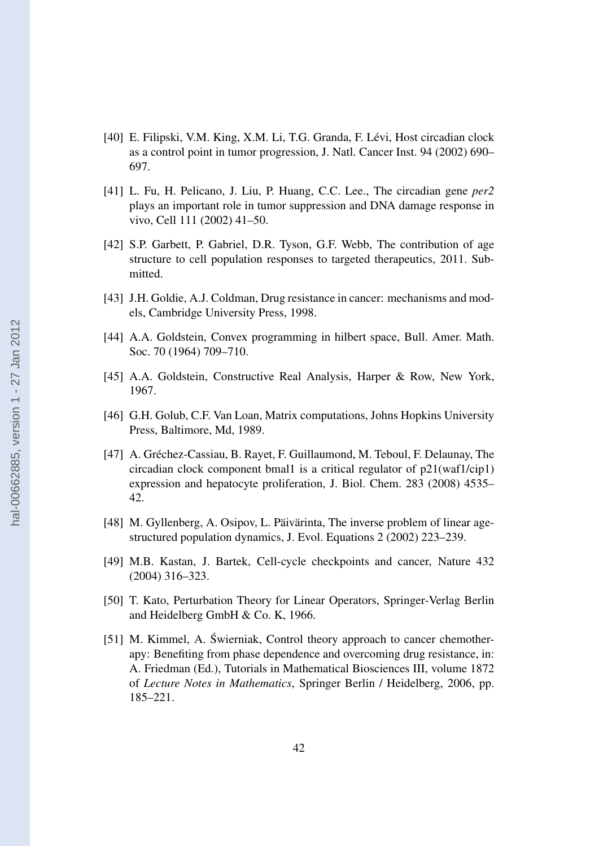- <span id="page-41-0"></span>[40] E. Filipski, V.M. King, X.M. Li, T.G. Granda, F. Levi, Host circadian clock ´ as a control point in tumor progression, J. Natl. Cancer Inst. 94 (2002) 690– 697.
- [41] L. Fu, H. Pelicano, J. Liu, P. Huang, C.C. Lee., The circadian gene *per2* plays an important role in tumor suppression and DNA damage response in vivo, Cell 111 (2002) 41–50.
- [42] S.P. Garbett, P. Gabriel, D.R. Tyson, G.F. Webb, The contribution of age structure to cell population responses to targeted therapeutics, 2011. Submitted.
- [43] J.H. Goldie, A.J. Coldman, Drug resistance in cancer: mechanisms and models, Cambridge University Press, 1998.
- [44] A.A. Goldstein, Convex programming in hilbert space, Bull. Amer. Math. Soc. 70 (1964) 709–710.
- [45] A.A. Goldstein, Constructive Real Analysis, Harper & Row, New York, 1967.
- [46] G.H. Golub, C.F. Van Loan, Matrix computations, Johns Hopkins University Press, Baltimore, Md, 1989.
- [47] A. Gréchez-Cassiau, B. Rayet, F. Guillaumond, M. Teboul, F. Delaunay, The circadian clock component bmal1 is a critical regulator of p21(waf1/cip1) expression and hepatocyte proliferation, J. Biol. Chem. 283 (2008) 4535– 42.
- [48] M. Gyllenberg, A. Osipov, L. Päivärinta, The inverse problem of linear agestructured population dynamics, J. Evol. Equations 2 (2002) 223–239.
- [49] M.B. Kastan, J. Bartek, Cell-cycle checkpoints and cancer, Nature 432 (2004) 316–323.
- [50] T. Kato, Perturbation Theory for Linear Operators, Springer-Verlag Berlin and Heidelberg GmbH & Co. K, 1966.
- [51] M. Kimmel, A. Świerniak, Control theory approach to cancer chemotherapy: Benefiting from phase dependence and overcoming drug resistance, in: A. Friedman (Ed.), Tutorials in Mathematical Biosciences III, volume 1872 of *Lecture Notes in Mathematics*, Springer Berlin / Heidelberg, 2006, pp. 185–221.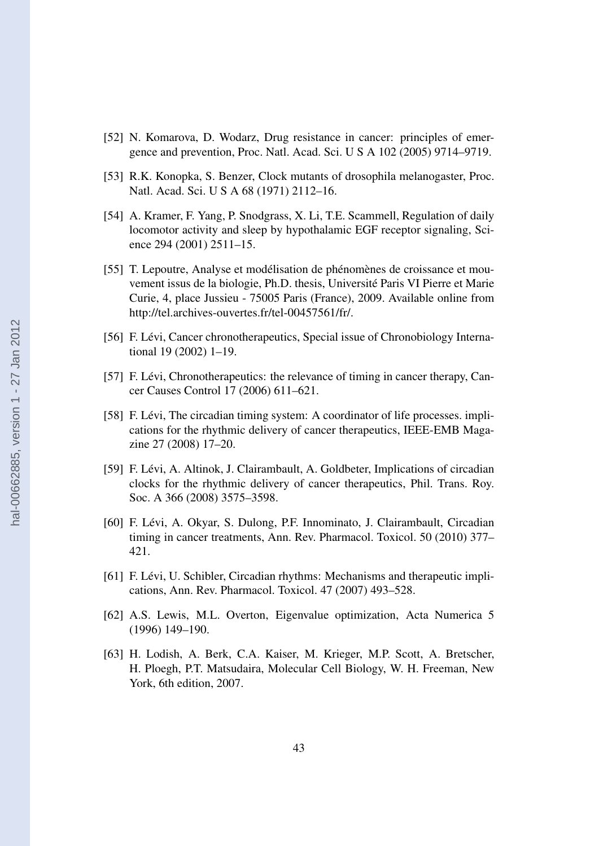- <span id="page-42-0"></span>[52] N. Komarova, D. Wodarz, Drug resistance in cancer: principles of emergence and prevention, Proc. Natl. Acad. Sci. U S A 102 (2005) 9714–9719.
- [53] R.K. Konopka, S. Benzer, Clock mutants of drosophila melanogaster, Proc. Natl. Acad. Sci. U S A 68 (1971) 2112–16.
- [54] A. Kramer, F. Yang, P. Snodgrass, X. Li, T.E. Scammell, Regulation of daily locomotor activity and sleep by hypothalamic EGF receptor signaling, Science 294 (2001) 2511–15.
- [55] T. Lepoutre, Analyse et modélisation de phénomènes de croissance et mouvement issus de la biologie, Ph.D. thesis, Universite Paris VI Pierre et Marie ´ Curie, 4, place Jussieu - 75005 Paris (France), 2009. Available online from http://tel.archives-ouvertes.fr/tel-00457561/fr/.
- [56] F. Levi, Cancer chronotherapeutics, Special issue of Chronobiology Interna- ´ tional 19 (2002) 1–19.
- [57] F. Lévi, Chronotherapeutics: the relevance of timing in cancer therapy, Cancer Causes Control 17 (2006) 611–621.
- [58] F. Lévi, The circadian timing system: A coordinator of life processes. implications for the rhythmic delivery of cancer therapeutics, IEEE-EMB Magazine 27 (2008) 17–20.
- [59] F. Lévi, A. Altinok, J. Clairambault, A. Goldbeter, Implications of circadian clocks for the rhythmic delivery of cancer therapeutics, Phil. Trans. Roy. Soc. A 366 (2008) 3575–3598.
- [60] F. Lévi, A. Okyar, S. Dulong, P.F. Innominato, J. Clairambault, Circadian timing in cancer treatments, Ann. Rev. Pharmacol. Toxicol. 50 (2010) 377– 421.
- [61] F. Lévi, U. Schibler, Circadian rhythms: Mechanisms and therapeutic implications, Ann. Rev. Pharmacol. Toxicol. 47 (2007) 493–528.
- [62] A.S. Lewis, M.L. Overton, Eigenvalue optimization, Acta Numerica 5 (1996) 149–190.
- [63] H. Lodish, A. Berk, C.A. Kaiser, M. Krieger, M.P. Scott, A. Bretscher, H. Ploegh, P.T. Matsudaira, Molecular Cell Biology, W. H. Freeman, New York, 6th edition, 2007.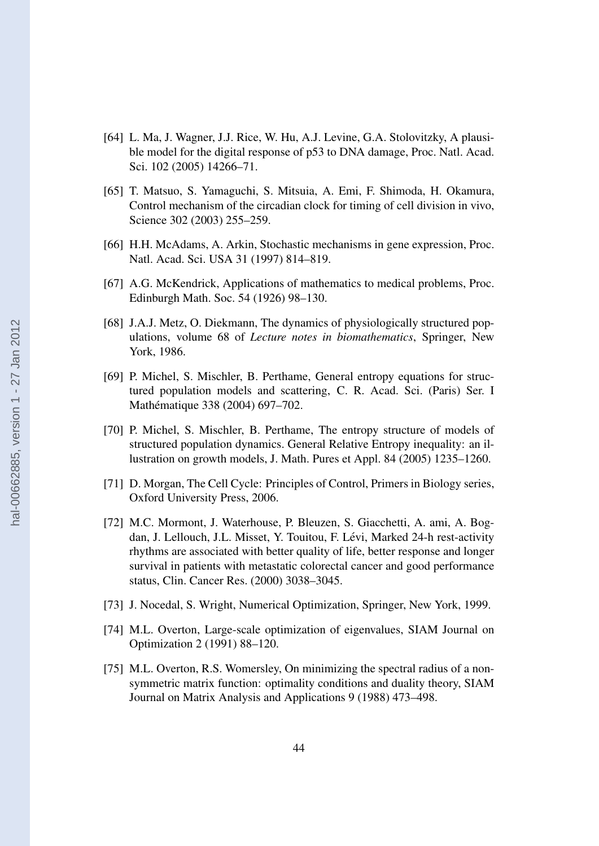- <span id="page-43-0"></span>[64] L. Ma, J. Wagner, J.J. Rice, W. Hu, A.J. Levine, G.A. Stolovitzky, A plausible model for the digital response of p53 to DNA damage, Proc. Natl. Acad. Sci. 102 (2005) 14266–71.
- [65] T. Matsuo, S. Yamaguchi, S. Mitsuia, A. Emi, F. Shimoda, H. Okamura, Control mechanism of the circadian clock for timing of cell division in vivo, Science 302 (2003) 255–259.
- [66] H.H. McAdams, A. Arkin, Stochastic mechanisms in gene expression, Proc. Natl. Acad. Sci. USA 31 (1997) 814–819.
- [67] A.G. McKendrick, Applications of mathematics to medical problems, Proc. Edinburgh Math. Soc. 54 (1926) 98–130.
- [68] J.A.J. Metz, O. Diekmann, The dynamics of physiologically structured populations, volume 68 of *Lecture notes in biomathematics*, Springer, New York, 1986.
- [69] P. Michel, S. Mischler, B. Perthame, General entropy equations for structured population models and scattering, C. R. Acad. Sci. (Paris) Ser. I Mathématique 338 (2004) 697-702.
- [70] P. Michel, S. Mischler, B. Perthame, The entropy structure of models of structured population dynamics. General Relative Entropy inequality: an illustration on growth models, J. Math. Pures et Appl. 84 (2005) 1235–1260.
- [71] D. Morgan, The Cell Cycle: Principles of Control, Primers in Biology series, Oxford University Press, 2006.
- [72] M.C. Mormont, J. Waterhouse, P. Bleuzen, S. Giacchetti, A. ami, A. Bogdan, J. Lellouch, J.L. Misset, Y. Touitou, F. Lévi, Marked 24-h rest-activity rhythms are associated with better quality of life, better response and longer survival in patients with metastatic colorectal cancer and good performance status, Clin. Cancer Res. (2000) 3038–3045.
- [73] J. Nocedal, S. Wright, Numerical Optimization, Springer, New York, 1999.
- [74] M.L. Overton, Large-scale optimization of eigenvalues, SIAM Journal on Optimization 2 (1991) 88–120.
- [75] M.L. Overton, R.S. Womersley, On minimizing the spectral radius of a nonsymmetric matrix function: optimality conditions and duality theory, SIAM Journal on Matrix Analysis and Applications 9 (1988) 473–498.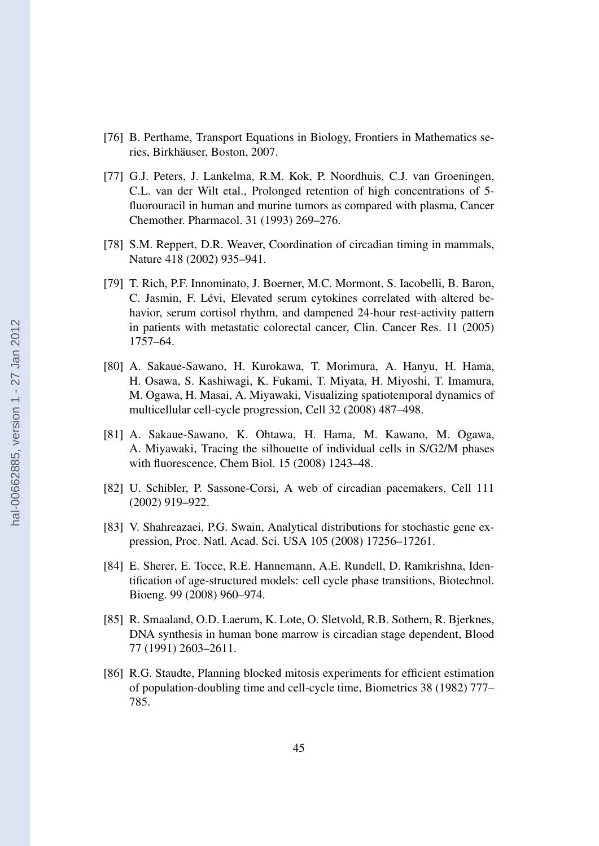- <span id="page-44-0"></span>[76] B. Perthame, Transport Equations in Biology, Frontiers in Mathematics series, Birkhäuser, Boston, 2007.
- [77] G.J. Peters, J. Lankelma, R.M. Kok, P. Noordhuis, C.J. van Groeningen, C.L. van der Wilt etal., Prolonged retention of high concentrations of 5 fluorouracil in human and murine tumors as compared with plasma, Cancer Chemother. Pharmacol. 31 (1993) 269–276.
- [78] S.M. Reppert, D.R. Weaver, Coordination of circadian timing in mammals, Nature 418 (2002) 935–941.
- [79] T. Rich, P.F. Innominato, J. Boerner, M.C. Mormont, S. Iacobelli, B. Baron, C. Jasmin, F. Lévi, Elevated serum cytokines correlated with altered behavior, serum cortisol rhythm, and dampened 24-hour rest-activity pattern in patients with metastatic colorectal cancer, Clin. Cancer Res. 11 (2005) 1757–64.
- [80] A. Sakaue-Sawano, H. Kurokawa, T. Morimura, A. Hanyu, H. Hama, H. Osawa, S. Kashiwagi, K. Fukami, T. Miyata, H. Miyoshi, T. Imamura, M. Ogawa, H. Masai, A. Miyawaki, Visualizing spatiotemporal dynamics of multicellular cell-cycle progression, Cell 32 (2008) 487–498.
- [81] A. Sakaue-Sawano, K. Ohtawa, H. Hama, M. Kawano, M. Ogawa, A. Miyawaki, Tracing the silhouette of individual cells in S/G2/M phases with fluorescence, Chem Biol. 15 (2008) 1243–48.
- [82] U. Schibler, P. Sassone-Corsi, A web of circadian pacemakers, Cell 111 (2002) 919–922.
- [83] V. Shahreazaei, P.G. Swain, Analytical distributions for stochastic gene expression, Proc. Natl. Acad. Sci. USA 105 (2008) 17256–17261.
- [84] E. Sherer, E. Tocce, R.E. Hannemann, A.E. Rundell, D. Ramkrishna, Identification of age-structured models: cell cycle phase transitions, Biotechnol. Bioeng. 99 (2008) 960–974.
- [85] R. Smaaland, O.D. Laerum, K. Lote, O. Sletvold, R.B. Sothern, R. Bjerknes, DNA synthesis in human bone marrow is circadian stage dependent, Blood 77 (1991) 2603–2611.
- [86] R.G. Staudte, Planning blocked mitosis experiments for efficient estimation of population-doubling time and cell-cycle time, Biometrics 38 (1982) 777– 785.